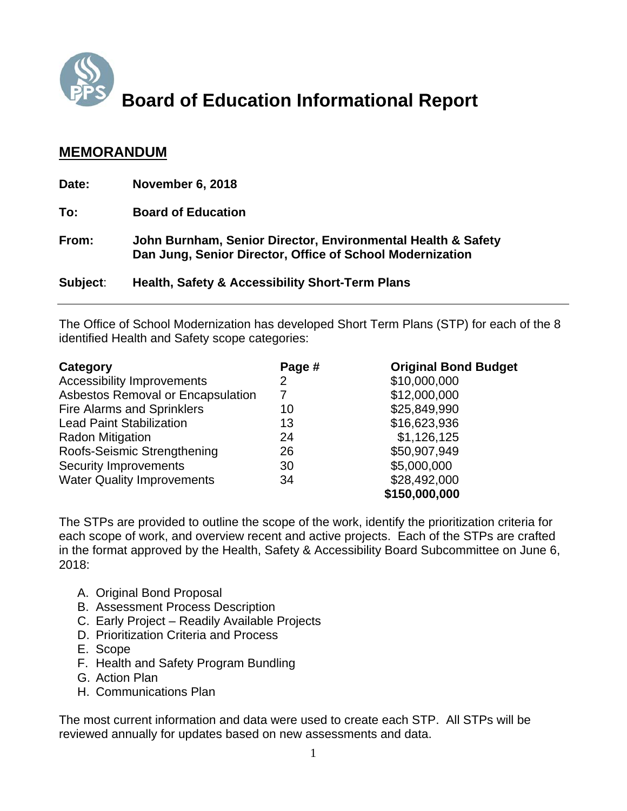

# **Board of Education Informational Report**

#### **MEMORANDUM**

| Date:    | <b>November 6, 2018</b>                                                                                                   |
|----------|---------------------------------------------------------------------------------------------------------------------------|
| To:      | <b>Board of Education</b>                                                                                                 |
| From:    | John Burnham, Senior Director, Environmental Health & Safety<br>Dan Jung, Senior Director, Office of School Modernization |
| Subject: | <b>Health, Safety &amp; Accessibility Short-Term Plans</b>                                                                |

The Office of School Modernization has developed Short Term Plans (STP) for each of the 8 identified Health and Safety scope categories:

| Category                          | Page #         | <b>Original Bond Budget</b> |
|-----------------------------------|----------------|-----------------------------|
| <b>Accessibility Improvements</b> | $\overline{2}$ | \$10,000,000                |
| Asbestos Removal or Encapsulation | 7              | \$12,000,000                |
| <b>Fire Alarms and Sprinklers</b> | 10             | \$25,849,990                |
| <b>Lead Paint Stabilization</b>   | 13             | \$16,623,936                |
| <b>Radon Mitigation</b>           | 24             | \$1,126,125                 |
| Roofs-Seismic Strengthening       | 26             | \$50,907,949                |
| <b>Security Improvements</b>      | 30             | \$5,000,000                 |
| <b>Water Quality Improvements</b> | 34             | \$28,492,000                |
|                                   |                | \$150,000,000               |

The STPs are provided to outline the scope of the work, identify the prioritization criteria for each scope of work, and overview recent and active projects. Each of the STPs are crafted in the format approved by the Health, Safety & Accessibility Board Subcommittee on June 6, 2018:

- A. Original Bond Proposal
- B. Assessment Process Description
- C. Early Project Readily Available Projects
- D. Prioritization Criteria and Process
- E. Scope
- F. Health and Safety Program Bundling
- G. Action Plan
- H. Communications Plan

The most current information and data were used to create each STP. All STPs will be reviewed annually for updates based on new assessments and data.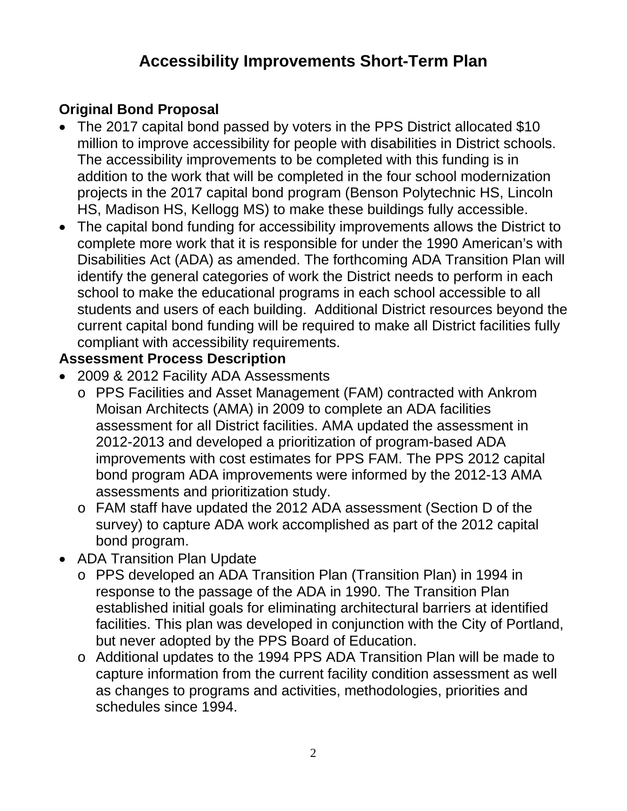## **Accessibility Improvements Short-Term Plan**

## **Original Bond Proposal**

- The 2017 capital bond passed by voters in the PPS District allocated \$10 million to improve accessibility for people with disabilities in District schools. The accessibility improvements to be completed with this funding is in addition to the work that will be completed in the four school modernization projects in the 2017 capital bond program (Benson Polytechnic HS, Lincoln HS, Madison HS, Kellogg MS) to make these buildings fully accessible.
- The capital bond funding for accessibility improvements allows the District to complete more work that it is responsible for under the 1990 American's with Disabilities Act (ADA) as amended. The forthcoming ADA Transition Plan will identify the general categories of work the District needs to perform in each school to make the educational programs in each school accessible to all students and users of each building. Additional District resources beyond the current capital bond funding will be required to make all District facilities fully compliant with accessibility requirements.

#### **Assessment Process Description**

- 2009 & 2012 Facility ADA Assessments
	- o PPS Facilities and Asset Management (FAM) contracted with Ankrom Moisan Architects (AMA) in 2009 to complete an ADA facilities assessment for all District facilities. AMA updated the assessment in 2012-2013 and developed a prioritization of program-based ADA improvements with cost estimates for PPS FAM. The PPS 2012 capital bond program ADA improvements were informed by the 2012-13 AMA assessments and prioritization study.
	- o FAM staff have updated the 2012 ADA assessment (Section D of the survey) to capture ADA work accomplished as part of the 2012 capital bond program.
- ADA Transition Plan Update
	- o PPS developed an ADA Transition Plan (Transition Plan) in 1994 in response to the passage of the ADA in 1990. The Transition Plan established initial goals for eliminating architectural barriers at identified facilities. This plan was developed in conjunction with the City of Portland, but never adopted by the PPS Board of Education.
	- o Additional updates to the 1994 PPS ADA Transition Plan will be made to capture information from the current facility condition assessment as well as changes to programs and activities, methodologies, priorities and schedules since 1994.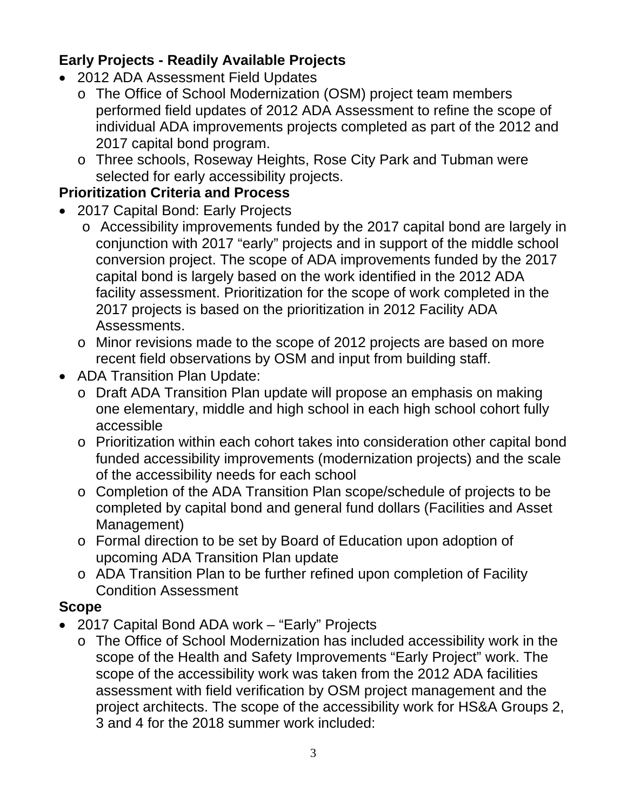## **Early Projects - Readily Available Projects**

- 2012 ADA Assessment Field Updates
	- o The Office of School Modernization (OSM) project team members performed field updates of 2012 ADA Assessment to refine the scope of individual ADA improvements projects completed as part of the 2012 and 2017 capital bond program.
	- o Three schools, Roseway Heights, Rose City Park and Tubman were selected for early accessibility projects.

## **Prioritization Criteria and Process**

- 2017 Capital Bond: Early Projects
	- o Accessibility improvements funded by the 2017 capital bond are largely in conjunction with 2017 "early" projects and in support of the middle school conversion project. The scope of ADA improvements funded by the 2017 capital bond is largely based on the work identified in the 2012 ADA facility assessment. Prioritization for the scope of work completed in the 2017 projects is based on the prioritization in 2012 Facility ADA Assessments.
	- o Minor revisions made to the scope of 2012 projects are based on more recent field observations by OSM and input from building staff.
- ADA Transition Plan Update:
	- o Draft ADA Transition Plan update will propose an emphasis on making one elementary, middle and high school in each high school cohort fully accessible
	- o Prioritization within each cohort takes into consideration other capital bond funded accessibility improvements (modernization projects) and the scale of the accessibility needs for each school
	- o Completion of the ADA Transition Plan scope/schedule of projects to be completed by capital bond and general fund dollars (Facilities and Asset Management)
	- o Formal direction to be set by Board of Education upon adoption of upcoming ADA Transition Plan update
	- o ADA Transition Plan to be further refined upon completion of Facility Condition Assessment

## **Scope**

- 2017 Capital Bond ADA work "Early" Projects
	- o The Office of School Modernization has included accessibility work in the scope of the Health and Safety Improvements "Early Project" work. The scope of the accessibility work was taken from the 2012 ADA facilities assessment with field verification by OSM project management and the project architects. The scope of the accessibility work for HS&A Groups 2, 3 and 4 for the 2018 summer work included: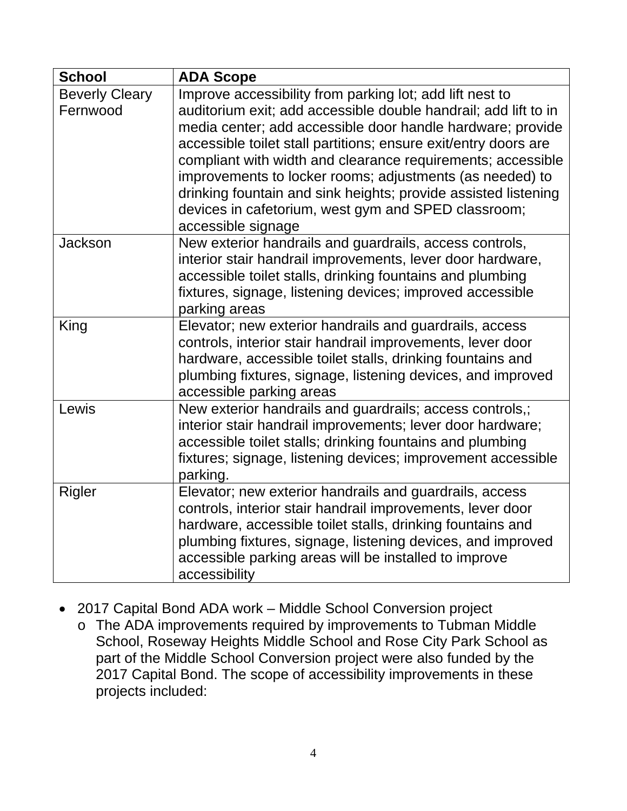| <b>School</b>         | <b>ADA Scope</b>                                                                                                          |
|-----------------------|---------------------------------------------------------------------------------------------------------------------------|
| <b>Beverly Cleary</b> | Improve accessibility from parking lot; add lift nest to                                                                  |
| Fernwood              | auditorium exit; add accessible double handrail; add lift to in                                                           |
|                       | media center; add accessible door handle hardware; provide                                                                |
|                       | accessible toilet stall partitions; ensure exit/entry doors are                                                           |
|                       | compliant with width and clearance requirements; accessible                                                               |
|                       | improvements to locker rooms; adjustments (as needed) to                                                                  |
|                       | drinking fountain and sink heights; provide assisted listening                                                            |
|                       | devices in cafetorium, west gym and SPED classroom;                                                                       |
|                       | accessible signage                                                                                                        |
| <b>Jackson</b>        | New exterior handrails and guardrails, access controls,                                                                   |
|                       | interior stair handrail improvements, lever door hardware,                                                                |
|                       | accessible toilet stalls, drinking fountains and plumbing                                                                 |
|                       | fixtures, signage, listening devices; improved accessible                                                                 |
|                       | parking areas                                                                                                             |
| King                  | Elevator; new exterior handrails and guardrails, access                                                                   |
|                       | controls, interior stair handrail improvements, lever door                                                                |
|                       | hardware, accessible toilet stalls, drinking fountains and<br>plumbing fixtures, signage, listening devices, and improved |
|                       | accessible parking areas                                                                                                  |
| Lewis                 | New exterior handrails and guardrails; access controls,;                                                                  |
|                       | interior stair handrail improvements; lever door hardware;                                                                |
|                       | accessible toilet stalls; drinking fountains and plumbing                                                                 |
|                       | fixtures; signage, listening devices; improvement accessible                                                              |
|                       | parking.                                                                                                                  |
| Rigler                | Elevator; new exterior handrails and guardrails, access                                                                   |
|                       | controls, interior stair handrail improvements, lever door                                                                |
|                       | hardware, accessible toilet stalls, drinking fountains and                                                                |
|                       | plumbing fixtures, signage, listening devices, and improved                                                               |
|                       | accessible parking areas will be installed to improve                                                                     |
|                       | accessibility                                                                                                             |

- 2017 Capital Bond ADA work Middle School Conversion project
	- o The ADA improvements required by improvements to Tubman Middle School, Roseway Heights Middle School and Rose City Park School as part of the Middle School Conversion project were also funded by the 2017 Capital Bond. The scope of accessibility improvements in these projects included: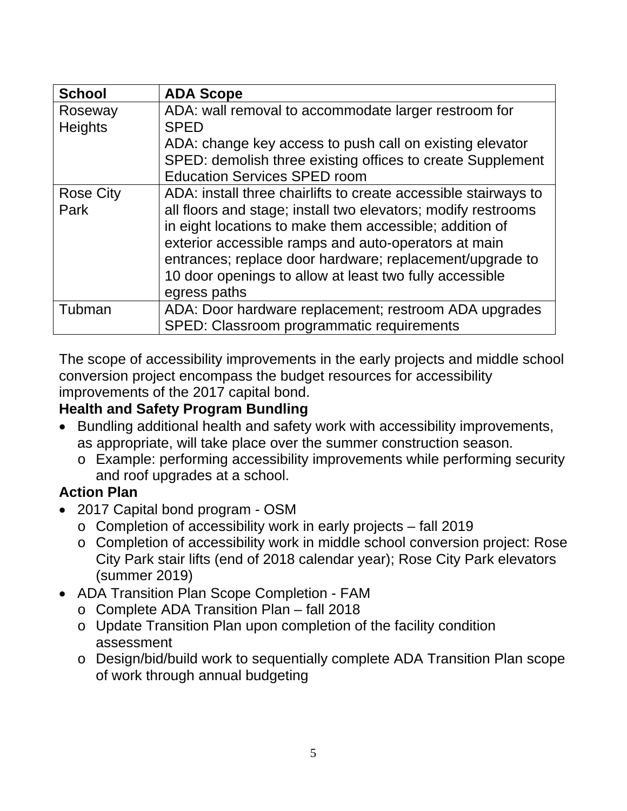| <b>School</b>             | <b>ADA Scope</b>                                                                                                                                                                                                                                                                                                                                                                           |
|---------------------------|--------------------------------------------------------------------------------------------------------------------------------------------------------------------------------------------------------------------------------------------------------------------------------------------------------------------------------------------------------------------------------------------|
| Roseway<br><b>Heights</b> | ADA: wall removal to accommodate larger restroom for<br><b>SPED</b><br>ADA: change key access to push call on existing elevator                                                                                                                                                                                                                                                            |
|                           | SPED: demolish three existing offices to create Supplement<br><b>Education Services SPED room</b>                                                                                                                                                                                                                                                                                          |
| <b>Rose City</b><br>Park  | ADA: install three chairlifts to create accessible stairways to<br>all floors and stage; install two elevators; modify restrooms<br>in eight locations to make them accessible; addition of<br>exterior accessible ramps and auto-operators at main<br>entrances; replace door hardware; replacement/upgrade to<br>10 door openings to allow at least two fully accessible<br>egress paths |
| Tubman                    | ADA: Door hardware replacement; restroom ADA upgrades<br>SPED: Classroom programmatic requirements                                                                                                                                                                                                                                                                                         |

The scope of accessibility improvements in the early projects and middle school conversion project encompass the budget resources for accessibility improvements of the 2017 capital bond.

#### **Health and Safety Program Bundling**

- Bundling additional health and safety work with accessibility improvements, as appropriate, will take place over the summer construction season.
	- o Example: performing accessibility improvements while performing security and roof upgrades at a school.

#### **Action Plan**

- 2017 Capital bond program OSM
	- o Completion of accessibility work in early projects fall 2019
	- o Completion of accessibility work in middle school conversion project: Rose City Park stair lifts (end of 2018 calendar year); Rose City Park elevators (summer 2019)
- ADA Transition Plan Scope Completion FAM
	- o Complete ADA Transition Plan fall 2018
	- o Update Transition Plan upon completion of the facility condition assessment
	- o Design/bid/build work to sequentially complete ADA Transition Plan scope of work through annual budgeting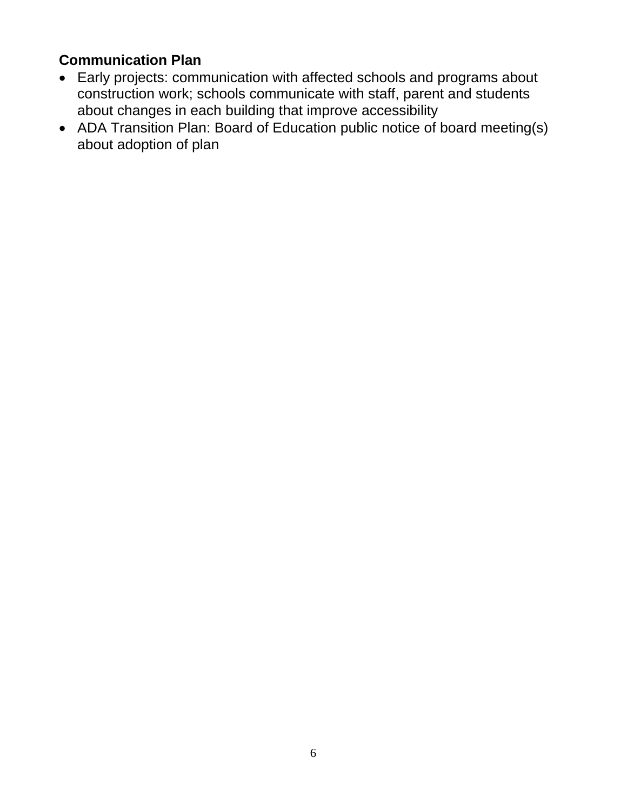#### **Communication Plan**

- Early projects: communication with affected schools and programs about construction work; schools communicate with staff, parent and students about changes in each building that improve accessibility
- ADA Transition Plan: Board of Education public notice of board meeting(s) about adoption of plan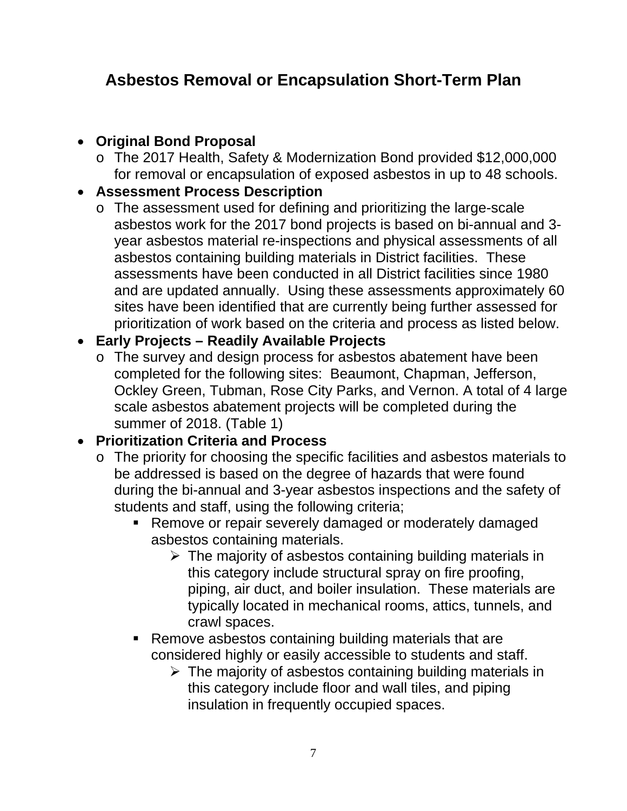# **Asbestos Removal or Encapsulation Short-Term Plan**

#### **Original Bond Proposal**

o The 2017 Health, Safety & Modernization Bond provided \$12,000,000 for removal or encapsulation of exposed asbestos in up to 48 schools.

#### **Assessment Process Description**

o The assessment used for defining and prioritizing the large-scale asbestos work for the 2017 bond projects is based on bi-annual and 3 year asbestos material re-inspections and physical assessments of all asbestos containing building materials in District facilities. These assessments have been conducted in all District facilities since 1980 and are updated annually. Using these assessments approximately 60 sites have been identified that are currently being further assessed for prioritization of work based on the criteria and process as listed below.

#### **Early Projects – Readily Available Projects**

o The survey and design process for asbestos abatement have been completed for the following sites: Beaumont, Chapman, Jefferson, Ockley Green, Tubman, Rose City Parks, and Vernon. A total of 4 large scale asbestos abatement projects will be completed during the summer of 2018. (Table 1)

## **Prioritization Criteria and Process**

- o The priority for choosing the specific facilities and asbestos materials to be addressed is based on the degree of hazards that were found during the bi-annual and 3-year asbestos inspections and the safety of students and staff, using the following criteria;
	- **Remove or repair severely damaged or moderately damaged** asbestos containing materials.
		- $\triangleright$  The majority of asbestos containing building materials in this category include structural spray on fire proofing, piping, air duct, and boiler insulation. These materials are typically located in mechanical rooms, attics, tunnels, and crawl spaces.
	- Remove asbestos containing building materials that are considered highly or easily accessible to students and staff.
		- $\triangleright$  The majority of asbestos containing building materials in this category include floor and wall tiles, and piping insulation in frequently occupied spaces.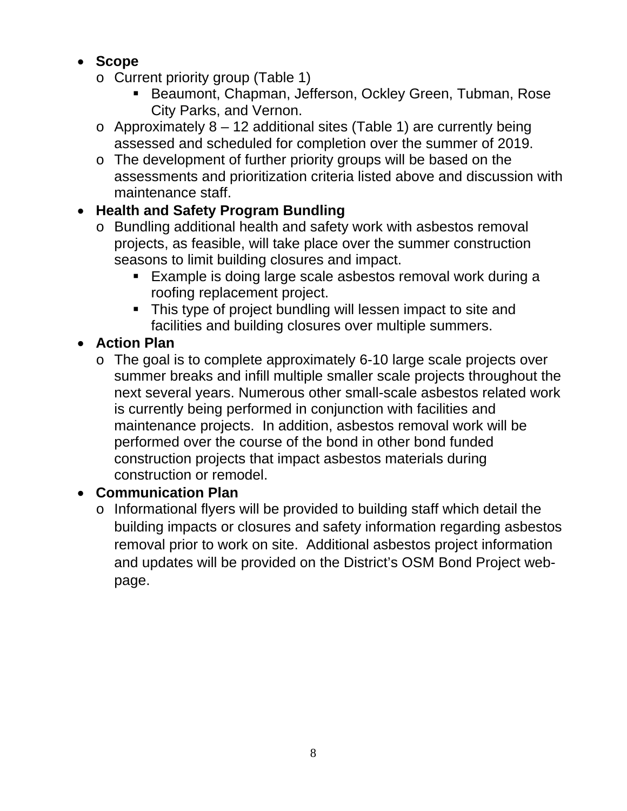## **Scope**

- o Current priority group (Table 1)
	- **Beaumont, Chapman, Jefferson, Ockley Green, Tubman, Rose** City Parks, and Vernon.
- $\circ$  Approximately 8 12 additional sites (Table 1) are currently being assessed and scheduled for completion over the summer of 2019.
- o The development of further priority groups will be based on the assessments and prioritization criteria listed above and discussion with maintenance staff.

## **Health and Safety Program Bundling**

- o Bundling additional health and safety work with asbestos removal projects, as feasible, will take place over the summer construction seasons to limit building closures and impact.
	- **Example is doing large scale asbestos removal work during a** roofing replacement project.
	- This type of project bundling will lessen impact to site and facilities and building closures over multiple summers.

## **Action Plan**

o The goal is to complete approximately 6-10 large scale projects over summer breaks and infill multiple smaller scale projects throughout the next several years. Numerous other small-scale asbestos related work is currently being performed in conjunction with facilities and maintenance projects. In addition, asbestos removal work will be performed over the course of the bond in other bond funded construction projects that impact asbestos materials during construction or remodel.

## **Communication Plan**

o Informational flyers will be provided to building staff which detail the building impacts or closures and safety information regarding asbestos removal prior to work on site. Additional asbestos project information and updates will be provided on the District's OSM Bond Project webpage.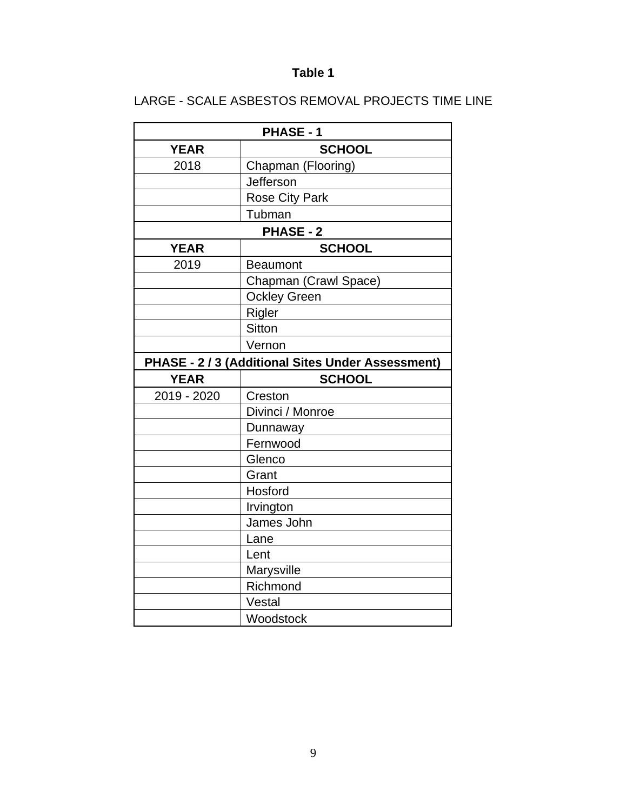#### **Table 1**

#### LARGE - SCALE ASBESTOS REMOVAL PROJECTS TIME LINE

|             | PHASE - 1                                         |
|-------------|---------------------------------------------------|
| <b>YEAR</b> | <b>SCHOOL</b>                                     |
| 2018        | Chapman (Flooring)                                |
|             | Jefferson                                         |
|             | Rose City Park                                    |
|             | Tubman                                            |
|             | <b>PHASE - 2</b>                                  |
| <b>YEAR</b> | <b>SCHOOL</b>                                     |
| 2019        | <b>Beaumont</b>                                   |
|             | Chapman (Crawl Space)                             |
|             | <b>Ockley Green</b>                               |
|             | Rigler                                            |
|             | <b>Sitton</b>                                     |
|             | Vernon                                            |
|             | PHASE - 2 / 3 (Additional Sites Under Assessment) |
| <b>YEAR</b> | <b>SCHOOL</b>                                     |
|             |                                                   |
| 2019 - 2020 | Creston                                           |
|             | Divinci / Monroe                                  |
|             | Dunnaway                                          |
|             | Fernwood                                          |
|             | Glenco                                            |
|             | Grant                                             |
|             | Hosford                                           |
|             | Irvington                                         |
|             | James John                                        |
|             | Lane                                              |
|             | Lent                                              |
|             | Marysville                                        |
|             | Richmond                                          |
|             | Vestal<br>Woodstock                               |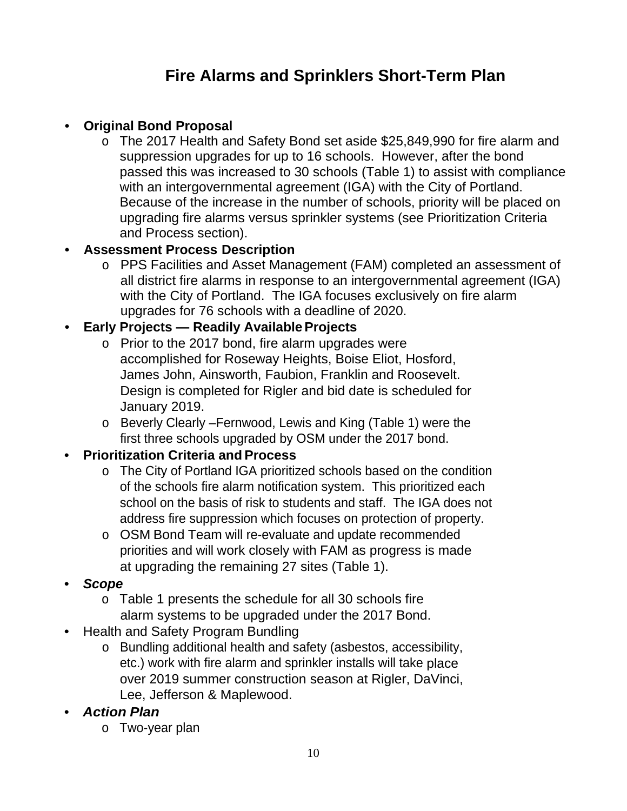# **Fire Alarms and Sprinklers Short-Term Plan**

#### • **Original Bond Proposal**

o The 2017 Health and Safety Bond set aside \$25,849,990 for fire alarm and suppression upgrades for up to 16 schools. However, after the bond passed this was increased to 30 schools (Table 1) to assist with compliance with an intergovernmental agreement (IGA) with the City of Portland. Because of the increase in the number of schools, priority will be placed on upgrading fire alarms versus sprinkler systems (see Prioritization Criteria and Process section).

#### • **Assessment Process Description**

o PPS Facilities and Asset Management (FAM) completed an assessment of all district fire alarms in response to an intergovernmental agreement (IGA) with the City of Portland. The IGA focuses exclusively on fire alarm upgrades for 76 schools with a deadline of 2020.

#### • **Early Projects — Readily Available Projects**

- o Prior to the 2017 bond, fire alarm upgrades were accomplished for Roseway Heights, Boise Eliot, Hosford, James John, Ainsworth, Faubion, Franklin and Roosevelt. Design is completed for Rigler and bid date is scheduled for January 2019.
- o Beverly Clearly –Fernwood, Lewis and King (Table 1) were the first three schools upgraded by OSM under the 2017 bond.

#### • **Prioritization Criteria and Process**

- o The City of Portland IGA prioritized schools based on the condition of the schools fire alarm notification system. This prioritized each school on the basis of risk to students and staff. The IGA does not address fire suppression which focuses on protection of property.
- o OSM Bond Team will re-evaluate and update recommended priorities and will work closely with FAM as progress is made at upgrading the remaining 27 sites (Table 1).
- *Scope*
	- o Table 1 presents the schedule for all 30 schools fire alarm systems to be upgraded under the 2017 Bond.
- Health and Safety Program Bundling
	- o Bundling additional health and safety (asbestos, accessibility, etc.) work with fire alarm and sprinkler installs will take place over 2019 summer construction season at Rigler, DaVinci, Lee, Jefferson & Maplewood.
- *Action Plan*
	- o Two-year plan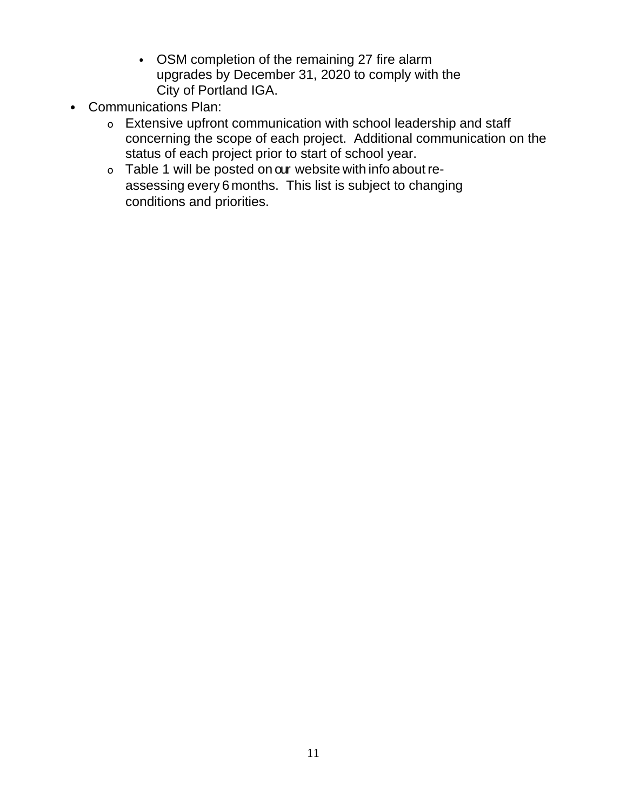- OSM completion of the remaining 27 fire alarm upgrades by December 31, 2020 to comply with the City of Portland IGA.
- Communications Plan:
	- o Extensive upfront communication with school leadership and staff concerning the scope of each project. Additional communication on the status of each project prior to start of school year.
	- o Table 1 will be posted on our website with info about reassessing every 6 months. This list is subject to changing conditions and priorities.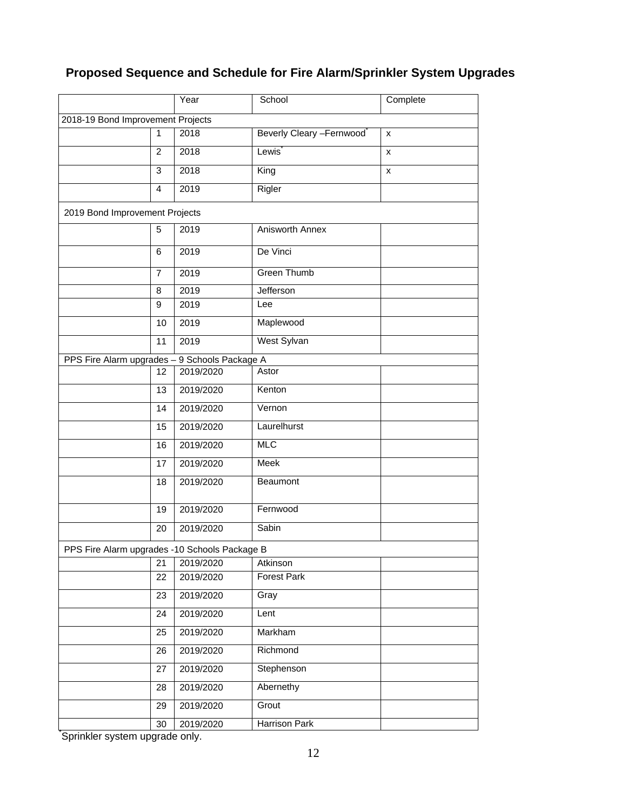#### **Proposed Sequence and Schedule for Fire Alarm/Sprinkler System Upgrades**

|                                               |                | Year                | School                   | Complete |
|-----------------------------------------------|----------------|---------------------|--------------------------|----------|
| 2018-19 Bond Improvement Projects             |                |                     |                          |          |
|                                               | 1              | 2018                | Beverly Cleary -Fernwood | X        |
|                                               | $\overline{2}$ | 2018                | Lewis <sup>®</sup>       | X        |
|                                               | 3              | 2018                | King                     | x        |
|                                               | 4              | 2019                | Rigler                   |          |
| 2019 Bond Improvement Projects                |                |                     |                          |          |
|                                               | 5              | 2019                | Anisworth Annex          |          |
|                                               | 6              | 2019                | De Vinci                 |          |
|                                               | 7              | 2019                | <b>Green Thumb</b>       |          |
|                                               | 8              | 2019                | Jefferson                |          |
|                                               | 9              | 2019                | Lee                      |          |
|                                               | 10             | 2019                | Maplewood                |          |
|                                               | 11             | 2019                | West Sylvan              |          |
| PPS Fire Alarm upgrades -                     |                | 9 Schools Package A |                          |          |
|                                               | 12             | 2019/2020           | Astor                    |          |
|                                               | 13             | 2019/2020           | Kenton                   |          |
|                                               | 14             | 2019/2020           | Vernon                   |          |
|                                               | 15             | 2019/2020           | Laurelhurst              |          |
|                                               | 16             | 2019/2020           | <b>MLC</b>               |          |
|                                               | 17             | 2019/2020           | Meek                     |          |
|                                               | 18             | 2019/2020           | Beaumont                 |          |
|                                               | 19             | 2019/2020           | Fernwood                 |          |
|                                               | 20             | 2019/2020           | Sabin                    |          |
| PPS Fire Alarm upgrades -10 Schools Package B |                |                     |                          |          |
|                                               | 21             | 2019/2020           | Atkinson                 |          |
|                                               | 22             | 2019/2020           | <b>Forest Park</b>       |          |
|                                               | 23             | 2019/2020           | Gray                     |          |
|                                               | 24             | 2019/2020           | Lent                     |          |
|                                               | 25             | 2019/2020           | Markham                  |          |
|                                               | 26             | 2019/2020           | Richmond                 |          |
|                                               | 27             | 2019/2020           | Stephenson               |          |
|                                               | 28             | 2019/2020           | Abernethy                |          |
|                                               | 29             | 2019/2020           | Grout                    |          |
|                                               | 30             | 2019/2020           | <b>Harrison Park</b>     |          |
| Sprinkler system upgrade only.                |                |                     |                          |          |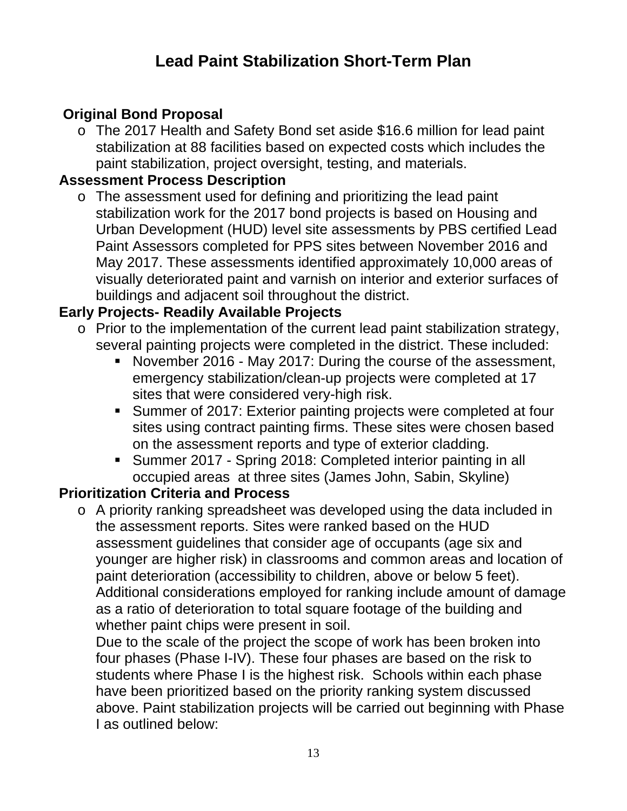## **Lead Paint Stabilization Short-Term Plan**

## **Original Bond Proposal**

o The 2017 Health and Safety Bond set aside \$16.6 million for lead paint stabilization at 88 facilities based on expected costs which includes the paint stabilization, project oversight, testing, and materials.

#### **Assessment Process Description**

o The assessment used for defining and prioritizing the lead paint stabilization work for the 2017 bond projects is based on Housing and Urban Development (HUD) level site assessments by PBS certified Lead Paint Assessors completed for PPS sites between November 2016 and May 2017. These assessments identified approximately 10,000 areas of visually deteriorated paint and varnish on interior and exterior surfaces of buildings and adjacent soil throughout the district.

#### **Early Projects- Readily Available Projects**

- o Prior to the implementation of the current lead paint stabilization strategy, several painting projects were completed in the district. These included:
	- November 2016 May 2017: During the course of the assessment, emergency stabilization/clean-up projects were completed at 17 sites that were considered very-high risk.
	- Summer of 2017: Exterior painting projects were completed at four sites using contract painting firms. These sites were chosen based on the assessment reports and type of exterior cladding.
	- Summer 2017 Spring 2018: Completed interior painting in all occupied areas at three sites (James John, Sabin, Skyline)

#### **Prioritization Criteria and Process**

o A priority ranking spreadsheet was developed using the data included in the assessment reports. Sites were ranked based on the HUD assessment guidelines that consider age of occupants (age six and younger are higher risk) in classrooms and common areas and location of paint deterioration (accessibility to children, above or below 5 feet). Additional considerations employed for ranking include amount of damage as a ratio of deterioration to total square footage of the building and whether paint chips were present in soil.

Due to the scale of the project the scope of work has been broken into four phases (Phase I-IV). These four phases are based on the risk to students where Phase I is the highest risk. Schools within each phase have been prioritized based on the priority ranking system discussed above. Paint stabilization projects will be carried out beginning with Phase I as outlined below: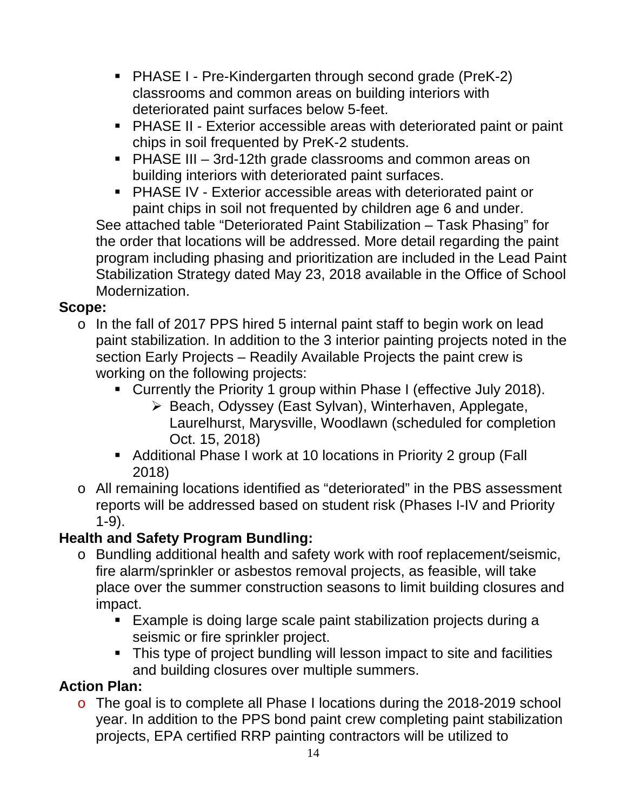- PHASE I Pre-Kindergarten through second grade (PreK-2) classrooms and common areas on building interiors with deteriorated paint surfaces below 5-feet.
- PHASE II Exterior accessible areas with deteriorated paint or paint chips in soil frequented by PreK-2 students.
- PHASE III 3rd-12th grade classrooms and common areas on building interiors with deteriorated paint surfaces.
- PHASE IV Exterior accessible areas with deteriorated paint or paint chips in soil not frequented by children age 6 and under.

See attached table "Deteriorated Paint Stabilization – Task Phasing" for the order that locations will be addressed. More detail regarding the paint program including phasing and prioritization are included in the Lead Paint Stabilization Strategy dated May 23, 2018 available in the Office of School Modernization.

#### **Scope:**

- o In the fall of 2017 PPS hired 5 internal paint staff to begin work on lead paint stabilization. In addition to the 3 interior painting projects noted in the section Early Projects – Readily Available Projects the paint crew is working on the following projects:
	- Currently the Priority 1 group within Phase I (effective July 2018).
		- ▶ Beach, Odyssey (East Sylvan), Winterhaven, Applegate, Laurelhurst, Marysville, Woodlawn (scheduled for completion Oct. 15, 2018)
	- Additional Phase I work at 10 locations in Priority 2 group (Fall 2018)
- o All remaining locations identified as "deteriorated" in the PBS assessment reports will be addressed based on student risk (Phases I-IV and Priority 1-9).

## **Health and Safety Program Bundling:**

- o Bundling additional health and safety work with roof replacement/seismic, fire alarm/sprinkler or asbestos removal projects, as feasible, will take place over the summer construction seasons to limit building closures and impact.
	- Example is doing large scale paint stabilization projects during a seismic or fire sprinkler project.
	- This type of project bundling will lesson impact to site and facilities and building closures over multiple summers.

## **Action Plan:**

o The goal is to complete all Phase I locations during the 2018-2019 school year. In addition to the PPS bond paint crew completing paint stabilization projects, EPA certified RRP painting contractors will be utilized to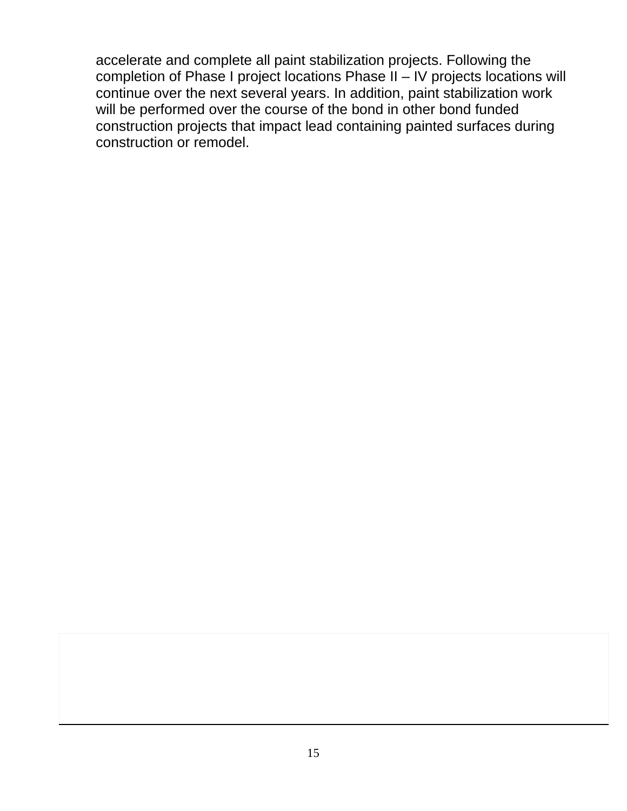accelerate and complete all paint stabilization projects. Following the completion of Phase I project locations Phase II – IV projects locations will continue over the next several years. In addition, paint stabilization work will be performed over the course of the bond in other bond funded construction projects that impact lead containing painted surfaces during construction or remodel.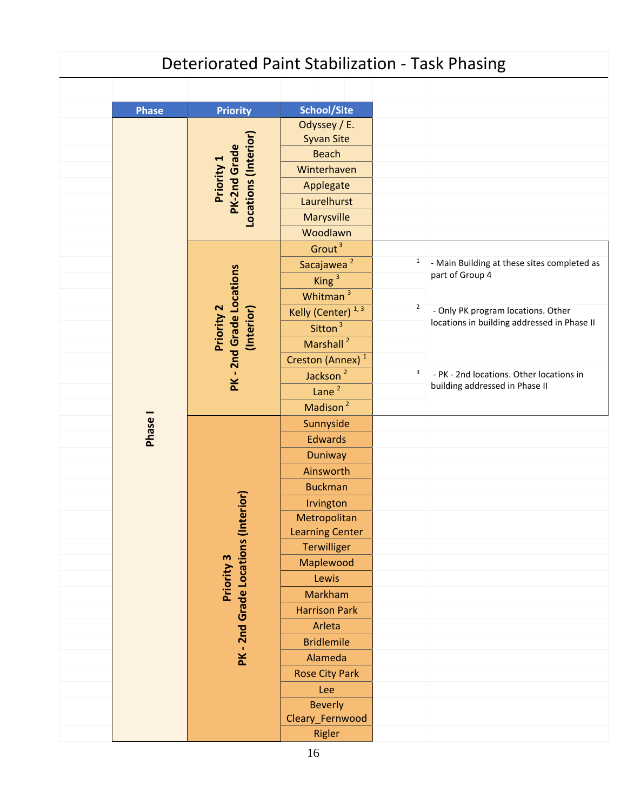|              |                                                           | <b>Deteriorated Paint Stabilization - Task Phasing</b>                                                                 |                |                                                                                   |
|--------------|-----------------------------------------------------------|------------------------------------------------------------------------------------------------------------------------|----------------|-----------------------------------------------------------------------------------|
|              |                                                           |                                                                                                                        |                |                                                                                   |
| <b>Phase</b> | <b>Priority</b>                                           | <b>School/Site</b>                                                                                                     |                |                                                                                   |
|              | Locations (Interior)<br><b>PK-2nd Grade</b><br>Priority 1 | Odyssey / E.<br><b>Syvan Site</b><br><b>Beach</b><br>Winterhaven<br>Applegate<br>Laurelhurst<br>Marysville<br>Woodlawn |                |                                                                                   |
|              |                                                           | Grout <sup>3</sup>                                                                                                     |                |                                                                                   |
|              |                                                           | Sacajawea <sup>2</sup><br>King <sup>3</sup><br>Whitman <sup>3</sup>                                                    | $\mathbf{1}$   | - Main Building at these sites completed as<br>part of Group 4                    |
|              | PK - 2nd Grade Locations<br>Priority 2<br>(Interior)      | Kelly (Center) <sup>1,3</sup><br>Sitton <sup>3</sup><br>Marshall <sup>2</sup>                                          | $\overline{2}$ | - Only PK program locations. Other<br>locations in building addressed in Phase II |
|              |                                                           | Creston (Annex) <sup>1</sup><br>Jackson <sup>2</sup><br>Lane <sup>2</sup>                                              | 3              | - PK - 2nd locations. Other locations in<br>building addressed in Phase II        |
| Phase I      |                                                           | Madison <sup>2</sup><br>Sunnyside                                                                                      |                |                                                                                   |
|              |                                                           | <b>Edwards</b><br>Duniway                                                                                              |                |                                                                                   |
|              |                                                           | Ainsworth                                                                                                              |                |                                                                                   |
|              |                                                           | <b>Buckman</b>                                                                                                         |                |                                                                                   |
|              | $\overline{10}$                                           | Irvington                                                                                                              |                |                                                                                   |
|              | PK-2nd Grade Locations (Inter                             | Metropolitan<br><b>Learning Center</b>                                                                                 |                |                                                                                   |
|              |                                                           | Terwilliger                                                                                                            |                |                                                                                   |
|              | Priority 3                                                | Maplewood                                                                                                              |                |                                                                                   |
|              |                                                           | Lewis<br>Markham                                                                                                       |                |                                                                                   |
|              |                                                           | <b>Harrison Park</b>                                                                                                   |                |                                                                                   |
|              |                                                           | Arleta                                                                                                                 |                |                                                                                   |
|              |                                                           | <b>Bridlemile</b>                                                                                                      |                |                                                                                   |
|              |                                                           | Alameda                                                                                                                |                |                                                                                   |
|              |                                                           | <b>Rose City Park</b>                                                                                                  |                |                                                                                   |
|              |                                                           | Lee                                                                                                                    |                |                                                                                   |
|              |                                                           | <b>Beverly</b><br>Cleary_Fernwood                                                                                      |                |                                                                                   |
|              |                                                           | <b>Rigler</b>                                                                                                          |                |                                                                                   |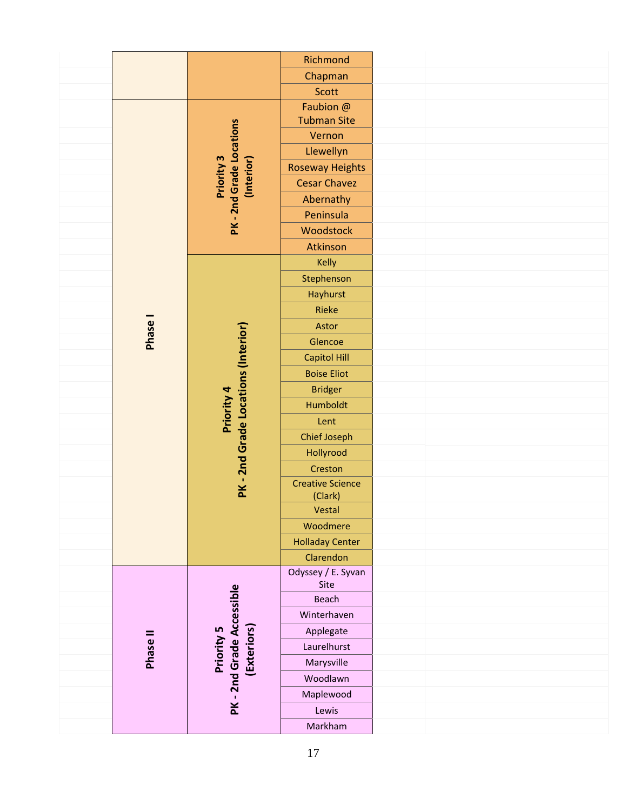|          |                                                   | Richmond                |  |
|----------|---------------------------------------------------|-------------------------|--|
|          |                                                   | Chapman                 |  |
|          |                                                   | <b>Scott</b>            |  |
|          |                                                   | Faubion @               |  |
|          |                                                   | <b>Tubman Site</b>      |  |
|          |                                                   | Vernon                  |  |
|          |                                                   | Llewellyn               |  |
|          | Priority 3<br>(Interior)                          | <b>Roseway Heights</b>  |  |
|          |                                                   | <b>Cesar Chavez</b>     |  |
|          | PK-2nd Grade Locations                            | Abernathy               |  |
|          |                                                   | Peninsula               |  |
|          |                                                   | Woodstock               |  |
|          |                                                   | Atkinson                |  |
|          |                                                   | Kelly                   |  |
|          |                                                   | Stephenson              |  |
|          |                                                   | Hayhurst                |  |
|          |                                                   | Rieke                   |  |
|          |                                                   | Astor                   |  |
| Phase I  |                                                   | Glencoe                 |  |
|          | PK - 2nd Grade Locations (Interior)<br>Priority 4 | <b>Capitol Hill</b>     |  |
|          |                                                   | <b>Boise Eliot</b>      |  |
|          |                                                   | <b>Bridger</b>          |  |
|          |                                                   | Humboldt                |  |
|          |                                                   | Lent                    |  |
|          |                                                   | <b>Chief Joseph</b>     |  |
|          |                                                   | Hollyrood               |  |
|          |                                                   | Creston                 |  |
|          |                                                   | <b>Creative Science</b> |  |
|          |                                                   | (Clark)                 |  |
|          |                                                   | Vestal                  |  |
|          |                                                   | Woodmere                |  |
|          |                                                   | <b>Holladay Center</b>  |  |
|          |                                                   | Clarendon               |  |
|          |                                                   | Odyssey / E. Syvan      |  |
|          |                                                   | Site<br>Beach           |  |
|          |                                                   |                         |  |
|          |                                                   | Winterhaven             |  |
|          |                                                   | Applegate               |  |
| Phase II | (Exteriors)<br>Priority 5                         | Laurelhurst             |  |
|          |                                                   | Marysville              |  |
|          |                                                   | Woodlawn                |  |
|          | PK - 2nd Grade Accessible                         | Maplewood               |  |
|          |                                                   | Lewis                   |  |
|          |                                                   | Markham                 |  |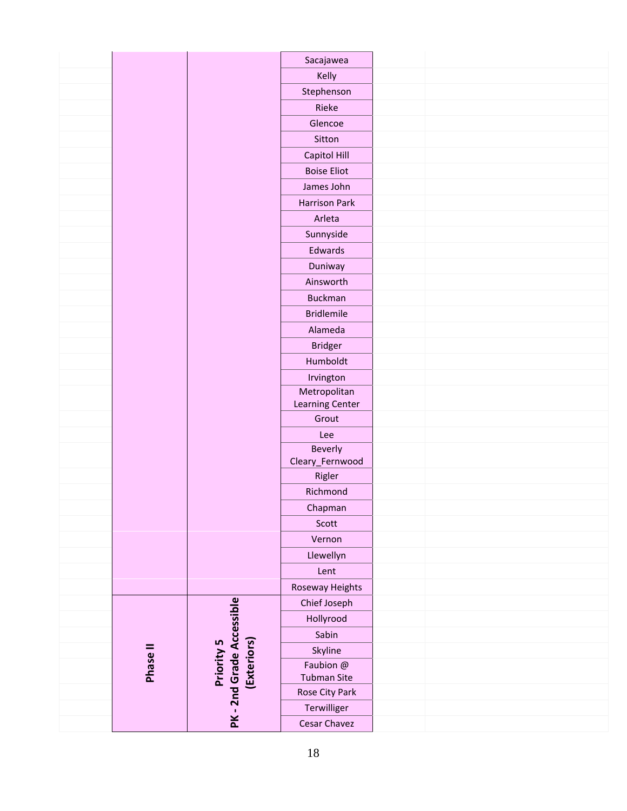|          |                           | Sacajawea                 |  |  |
|----------|---------------------------|---------------------------|--|--|
|          |                           | Kelly                     |  |  |
|          |                           | Stephenson                |  |  |
|          |                           | Rieke                     |  |  |
|          |                           | Glencoe                   |  |  |
|          |                           | Sitton                    |  |  |
|          |                           | Capitol Hill              |  |  |
|          |                           | <b>Boise Eliot</b>        |  |  |
|          |                           | James John                |  |  |
|          |                           | <b>Harrison Park</b>      |  |  |
|          |                           | Arleta                    |  |  |
|          |                           | Sunnyside                 |  |  |
|          |                           | Edwards                   |  |  |
|          |                           | Duniway                   |  |  |
|          |                           | Ainsworth                 |  |  |
|          |                           | <b>Buckman</b>            |  |  |
|          |                           | <b>Bridlemile</b>         |  |  |
|          |                           | Alameda                   |  |  |
|          |                           | <b>Bridger</b>            |  |  |
|          |                           | Humboldt                  |  |  |
|          |                           | Irvington                 |  |  |
|          |                           | Metropolitan              |  |  |
|          |                           | Learning Center           |  |  |
|          |                           | Grout                     |  |  |
|          |                           | Lee                       |  |  |
|          |                           | Beverly                   |  |  |
|          |                           | Cleary_Fernwood<br>Rigler |  |  |
|          |                           | Richmond                  |  |  |
|          |                           |                           |  |  |
|          |                           | Chapman                   |  |  |
|          |                           | Scott                     |  |  |
|          |                           | Vernon                    |  |  |
|          |                           | Llewellyn                 |  |  |
|          |                           | Lent                      |  |  |
|          |                           | Roseway Heights           |  |  |
|          |                           | Chief Joseph              |  |  |
|          | PK-2nd Grade Accessible   | Hollyrood                 |  |  |
|          |                           | Sabin                     |  |  |
| Phase II | (Exteriors)<br>Priority 5 | Skyline<br>Faubion @      |  |  |
|          |                           | <b>Tubman Site</b>        |  |  |
|          |                           | Rose City Park            |  |  |
|          |                           | Terwilliger               |  |  |
|          |                           | Cesar Chavez              |  |  |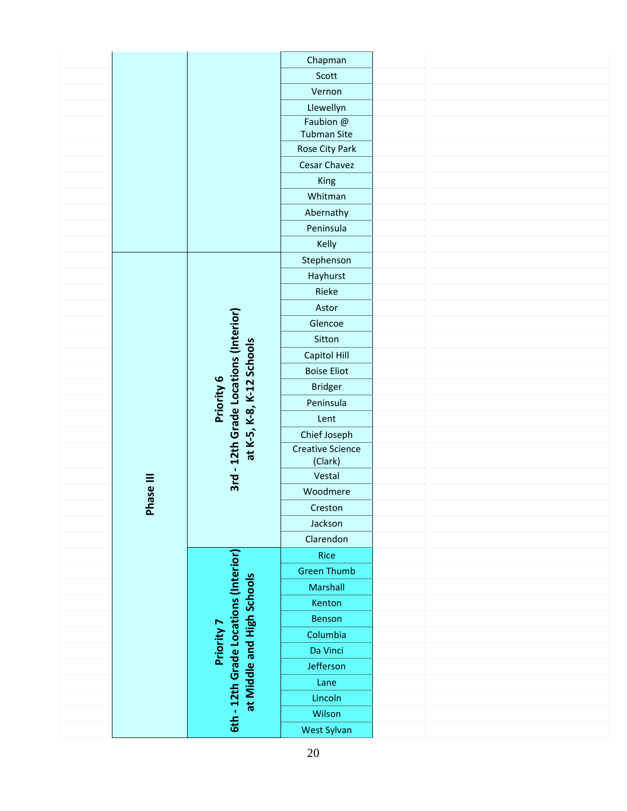|           |                                                                    | Chapman                            |  |  |
|-----------|--------------------------------------------------------------------|------------------------------------|--|--|
|           |                                                                    | Scott                              |  |  |
|           |                                                                    | Vernon                             |  |  |
|           |                                                                    | Llewellyn                          |  |  |
|           |                                                                    | Faubion @                          |  |  |
|           |                                                                    | <b>Tubman Site</b>                 |  |  |
|           |                                                                    | Rose City Park                     |  |  |
|           |                                                                    | Cesar Chavez                       |  |  |
|           |                                                                    | King                               |  |  |
|           |                                                                    | Whitman                            |  |  |
|           |                                                                    | Abernathy                          |  |  |
|           |                                                                    | Peninsula                          |  |  |
|           |                                                                    | Kelly                              |  |  |
|           |                                                                    | Stephenson                         |  |  |
|           |                                                                    | Hayhurst                           |  |  |
|           |                                                                    | Rieke                              |  |  |
|           |                                                                    | Astor                              |  |  |
|           |                                                                    | Glencoe                            |  |  |
|           |                                                                    | Sitton                             |  |  |
|           | 3rd - 12th Grade Locations (Interior)<br>at K-5, K-8, K-12 Schools | Capitol Hill                       |  |  |
|           |                                                                    | <b>Boise Eliot</b>                 |  |  |
|           |                                                                    | <b>Bridger</b>                     |  |  |
|           | Priority 6                                                         | Peninsula                          |  |  |
|           |                                                                    | Lent                               |  |  |
|           |                                                                    | Chief Joseph                       |  |  |
|           |                                                                    | <b>Creative Science</b><br>(Clark) |  |  |
|           |                                                                    | Vestal                             |  |  |
| Phase III |                                                                    | Woodmere                           |  |  |
|           |                                                                    | Creston                            |  |  |
|           |                                                                    | Jackson                            |  |  |
|           |                                                                    | Clarendon                          |  |  |
|           |                                                                    | Rice                               |  |  |
|           | 6th - 12th Grade Locations (Interior)                              | <b>Green Thumb</b>                 |  |  |
|           |                                                                    | Marshall                           |  |  |
|           |                                                                    | Kenton                             |  |  |
|           |                                                                    | Benson                             |  |  |
|           | at Middle and High Schools<br>Priority 7                           | Columbia                           |  |  |
|           |                                                                    | Da Vinci                           |  |  |
|           |                                                                    | Jefferson                          |  |  |
|           |                                                                    | Lane                               |  |  |
|           |                                                                    | Lincoln                            |  |  |
|           |                                                                    | Wilson                             |  |  |
|           |                                                                    | West Sylvan                        |  |  |
|           |                                                                    |                                    |  |  |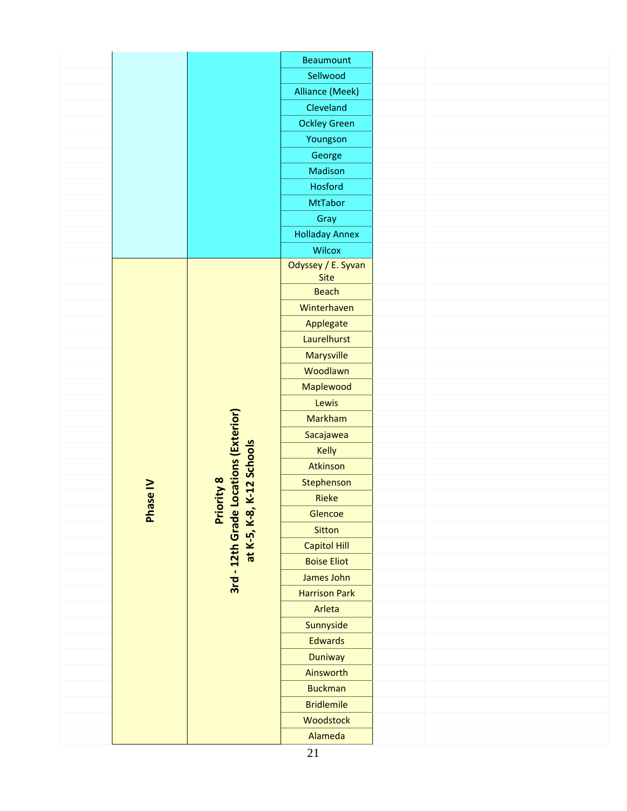|          |                                                                                  | Beaumount                  |  |  |
|----------|----------------------------------------------------------------------------------|----------------------------|--|--|
|          |                                                                                  | Sellwood                   |  |  |
|          |                                                                                  | Alliance (Meek)            |  |  |
|          |                                                                                  | Cleveland                  |  |  |
|          |                                                                                  | <b>Ockley Green</b>        |  |  |
|          |                                                                                  | Youngson                   |  |  |
|          |                                                                                  | George                     |  |  |
|          |                                                                                  | Madison                    |  |  |
|          |                                                                                  | Hosford                    |  |  |
|          |                                                                                  | <b>MtTabor</b>             |  |  |
|          |                                                                                  | Gray                       |  |  |
|          |                                                                                  | <b>Holladay Annex</b>      |  |  |
|          |                                                                                  | Wilcox                     |  |  |
|          |                                                                                  | Odyssey / E. Syvan         |  |  |
|          |                                                                                  | <b>Site</b>                |  |  |
|          |                                                                                  | <b>Beach</b>               |  |  |
|          |                                                                                  | Winterhaven                |  |  |
|          |                                                                                  | Applegate<br>Laurelhurst   |  |  |
|          |                                                                                  |                            |  |  |
|          |                                                                                  | Marysville<br>Woodlawn     |  |  |
|          |                                                                                  |                            |  |  |
|          |                                                                                  | Maplewood                  |  |  |
|          |                                                                                  | Lewis                      |  |  |
|          |                                                                                  | Markham                    |  |  |
|          |                                                                                  | Sacajawea                  |  |  |
|          |                                                                                  | Kelly<br>Atkinson          |  |  |
|          | Priority 8<br>3rd - 12th Grade Locations (Exterior)<br>at K-5, K-8, K-12 Schools |                            |  |  |
|          |                                                                                  | Stephenson<br><b>Rieke</b> |  |  |
| Phase IV |                                                                                  | Glencoe                    |  |  |
|          |                                                                                  | Sitton                     |  |  |
|          |                                                                                  | Capitol Hill               |  |  |
|          |                                                                                  | <b>Boise Eliot</b>         |  |  |
|          |                                                                                  | James John                 |  |  |
|          |                                                                                  | <b>Harrison Park</b>       |  |  |
|          |                                                                                  | Arleta                     |  |  |
|          |                                                                                  | Sunnyside                  |  |  |
|          |                                                                                  | <b>Edwards</b>             |  |  |
|          |                                                                                  | Duniway                    |  |  |
|          |                                                                                  | Ainsworth                  |  |  |
|          |                                                                                  | <b>Buckman</b>             |  |  |
|          |                                                                                  | <b>Bridlemile</b>          |  |  |
|          |                                                                                  | Woodstock                  |  |  |
|          |                                                                                  | Alameda                    |  |  |
|          |                                                                                  |                            |  |  |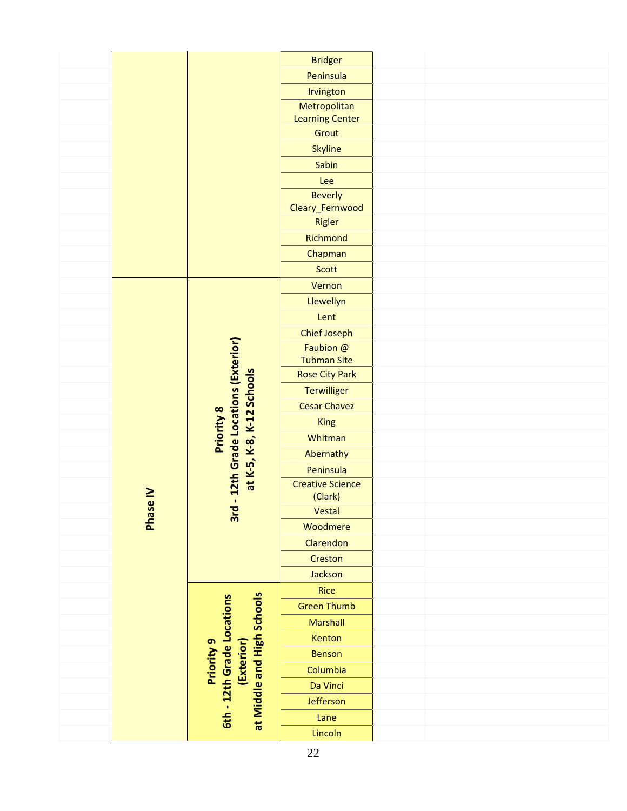|  |               |                                                                                      | <b>Bridger</b>          |  |
|--|---------------|--------------------------------------------------------------------------------------|-------------------------|--|
|  |               |                                                                                      | Peninsula               |  |
|  |               |                                                                                      | Irvington               |  |
|  |               |                                                                                      | Metropolitan            |  |
|  |               |                                                                                      | <b>Learning Center</b>  |  |
|  |               |                                                                                      | Grout                   |  |
|  |               |                                                                                      | <b>Skyline</b>          |  |
|  |               |                                                                                      | Sabin                   |  |
|  |               |                                                                                      | Lee                     |  |
|  |               |                                                                                      | <b>Beverly</b>          |  |
|  |               |                                                                                      | Cleary_Fernwood         |  |
|  |               |                                                                                      | Rigler                  |  |
|  |               |                                                                                      | Richmond                |  |
|  |               |                                                                                      | Chapman                 |  |
|  |               |                                                                                      | Scott                   |  |
|  |               |                                                                                      | Vernon                  |  |
|  |               |                                                                                      | Llewellyn               |  |
|  |               |                                                                                      | Lent                    |  |
|  |               |                                                                                      | <b>Chief Joseph</b>     |  |
|  |               |                                                                                      | Faubion @               |  |
|  |               |                                                                                      | <b>Tubman Site</b>      |  |
|  |               |                                                                                      | <b>Rose City Park</b>   |  |
|  |               |                                                                                      | <b>Terwilliger</b>      |  |
|  |               |                                                                                      | <b>Cesar Chavez</b>     |  |
|  |               |                                                                                      | <b>King</b>             |  |
|  |               | Priority 8                                                                           | Whitman                 |  |
|  |               |                                                                                      | Abernathy               |  |
|  |               | 12th Grade Locations (Exterior)<br>at K-5, K-8, K-12 Schools                         | Peninsula               |  |
|  |               |                                                                                      | <b>Creative Science</b> |  |
|  | $\frac{1}{e}$ | $\mathbf{I}$                                                                         | (Clark)                 |  |
|  | <b>Phas</b>   | 3rd                                                                                  | Vestal                  |  |
|  |               |                                                                                      | Woodmere                |  |
|  |               |                                                                                      | Clarendon               |  |
|  |               | at Middle and High Schools<br>6th - 12th Grade Locations<br>Priority 9<br>(Exterior) | Creston                 |  |
|  |               |                                                                                      | Jackson                 |  |
|  |               |                                                                                      | <b>Rice</b>             |  |
|  |               |                                                                                      | <b>Green Thumb</b>      |  |
|  |               |                                                                                      | <b>Marshall</b>         |  |
|  |               |                                                                                      | Kenton                  |  |
|  |               |                                                                                      | <b>Benson</b>           |  |
|  |               |                                                                                      | Columbia                |  |
|  |               |                                                                                      | Da Vinci                |  |
|  |               |                                                                                      | Jefferson               |  |
|  |               |                                                                                      |                         |  |
|  |               |                                                                                      | Lane                    |  |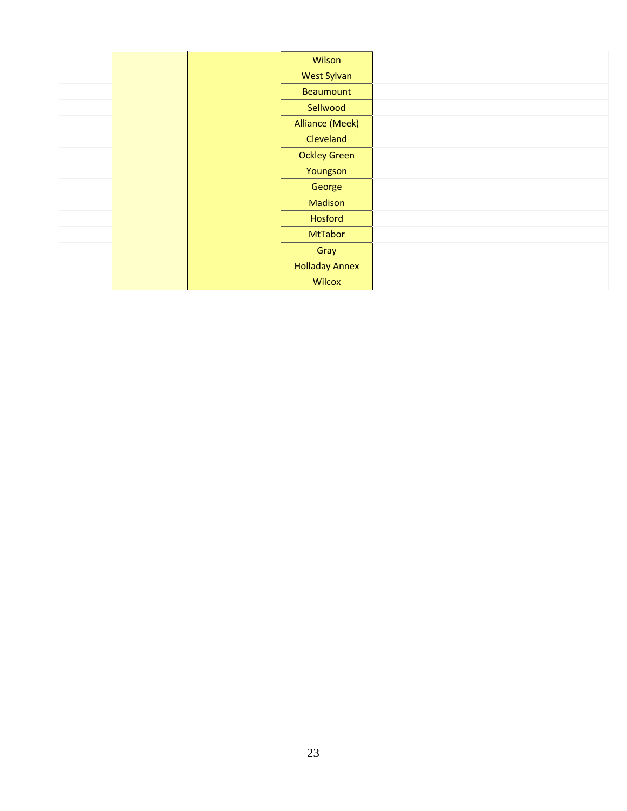|  | Wilson                 |
|--|------------------------|
|  | <b>West Sylvan</b>     |
|  | Beaumount              |
|  | Sellwood               |
|  | <b>Alliance (Meek)</b> |
|  | Cleveland              |
|  | <b>Ockley Green</b>    |
|  | Youngson               |
|  | George                 |
|  | <b>Madison</b>         |
|  | Hosford                |
|  | <b>MtTabor</b>         |
|  | Gray                   |
|  | <b>Holladay Annex</b>  |
|  | <b>Wilcox</b>          |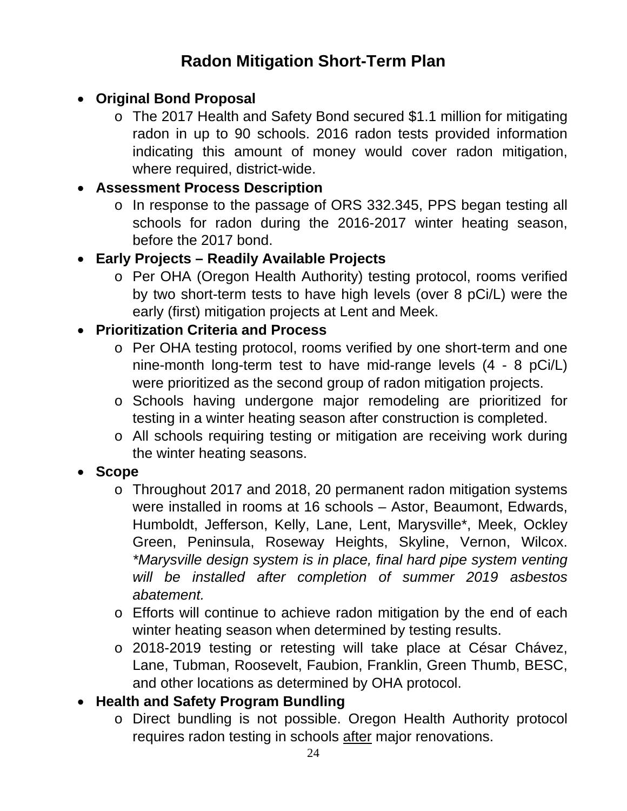# **Radon Mitigation Short-Term Plan**

#### **Original Bond Proposal**

o The 2017 Health and Safety Bond secured \$1.1 million for mitigating radon in up to 90 schools. 2016 radon tests provided information indicating this amount of money would cover radon mitigation, where required, district-wide.

#### **Assessment Process Description**

o In response to the passage of ORS 332.345, PPS began testing all schools for radon during the 2016-2017 winter heating season, before the 2017 bond.

#### **Early Projects – Readily Available Projects**

o Per OHA (Oregon Health Authority) testing protocol, rooms verified by two short-term tests to have high levels (over 8 pCi/L) were the early (first) mitigation projects at Lent and Meek.

#### **Prioritization Criteria and Process**

- o Per OHA testing protocol, rooms verified by one short-term and one nine-month long-term test to have mid-range levels (4 - 8 pCi/L) were prioritized as the second group of radon mitigation projects.
- o Schools having undergone major remodeling are prioritized for testing in a winter heating season after construction is completed.
- o All schools requiring testing or mitigation are receiving work during the winter heating seasons.

#### **Scope**

- o Throughout 2017 and 2018, 20 permanent radon mitigation systems were installed in rooms at 16 schools – Astor, Beaumont, Edwards, Humboldt, Jefferson, Kelly, Lane, Lent, Marysville\*, Meek, Ockley Green, Peninsula, Roseway Heights, Skyline, Vernon, Wilcox. *\*Marysville design system is in place, final hard pipe system venting will be installed after completion of summer 2019 asbestos abatement.*
- o Efforts will continue to achieve radon mitigation by the end of each winter heating season when determined by testing results.
- o 2018-2019 testing or retesting will take place at César Chávez, Lane, Tubman, Roosevelt, Faubion, Franklin, Green Thumb, BESC, and other locations as determined by OHA protocol.

## **Health and Safety Program Bundling**

o Direct bundling is not possible. Oregon Health Authority protocol requires radon testing in schools after major renovations.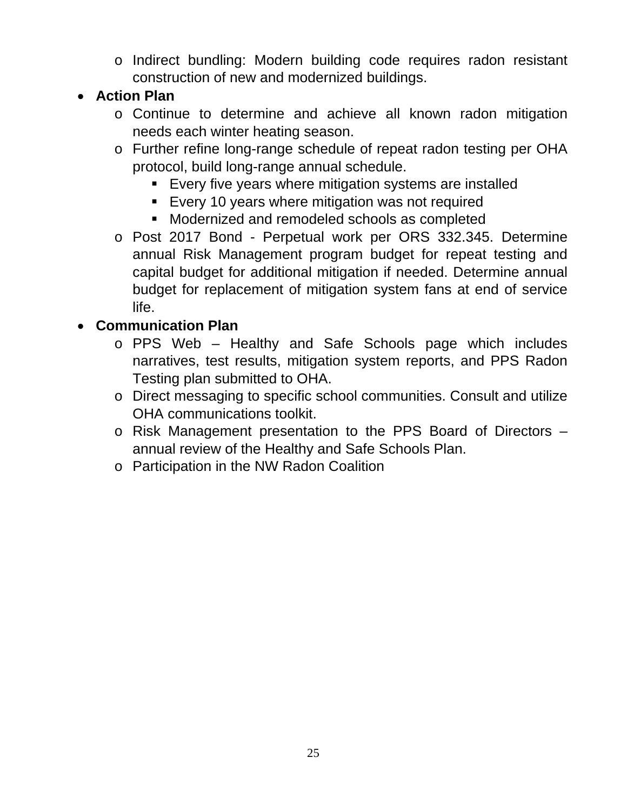o Indirect bundling: Modern building code requires radon resistant construction of new and modernized buildings.

#### **Action Plan**

- o Continue to determine and achieve all known radon mitigation needs each winter heating season.
- o Further refine long-range schedule of repeat radon testing per OHA protocol, build long-range annual schedule.
	- **Every five years where mitigation systems are installed**
	- **Every 10 years where mitigation was not required**
	- Modernized and remodeled schools as completed
- o Post 2017 Bond Perpetual work per ORS 332.345. Determine annual Risk Management program budget for repeat testing and capital budget for additional mitigation if needed. Determine annual budget for replacement of mitigation system fans at end of service life.

#### **Communication Plan**

- o PPS Web Healthy and Safe Schools page which includes narratives, test results, mitigation system reports, and PPS Radon Testing plan submitted to OHA.
- o Direct messaging to specific school communities. Consult and utilize OHA communications toolkit.
- o Risk Management presentation to the PPS Board of Directors annual review of the Healthy and Safe Schools Plan.
- o Participation in the NW Radon Coalition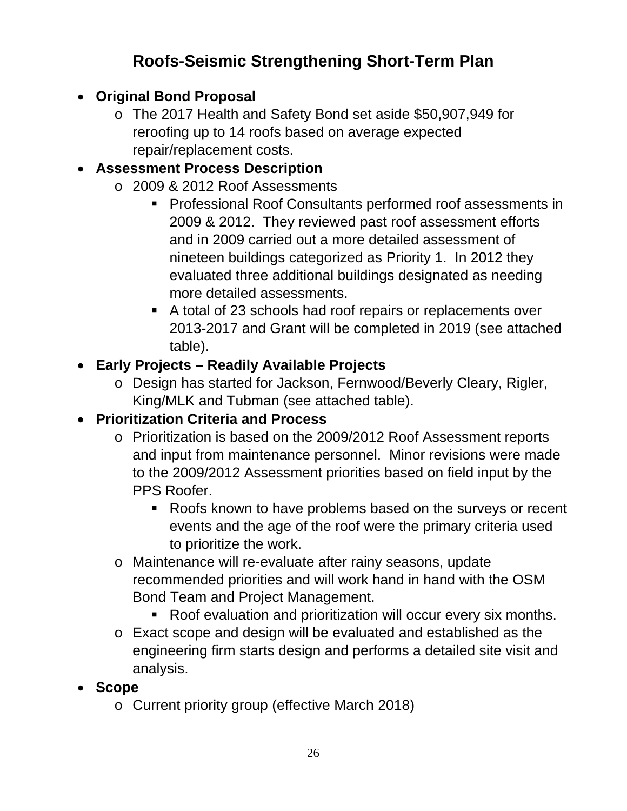# **Roofs-Seismic Strengthening Short-Term Plan**

- **Original Bond Proposal** 
	- o The 2017 Health and Safety Bond set aside \$50,907,949 for reroofing up to 14 roofs based on average expected repair/replacement costs.

## **Assessment Process Description**

- o 2009 & 2012 Roof Assessments
	- **Professional Roof Consultants performed roof assessments in** 2009 & 2012. They reviewed past roof assessment efforts and in 2009 carried out a more detailed assessment of nineteen buildings categorized as Priority 1. In 2012 they evaluated three additional buildings designated as needing more detailed assessments.
	- A total of 23 schools had roof repairs or replacements over 2013-2017 and Grant will be completed in 2019 (see attached table).

## **Early Projects – Readily Available Projects**

o Design has started for Jackson, Fernwood/Beverly Cleary, Rigler, King/MLK and Tubman (see attached table).

## **Prioritization Criteria and Process**

- o Prioritization is based on the 2009/2012 Roof Assessment reports and input from maintenance personnel. Minor revisions were made to the 2009/2012 Assessment priorities based on field input by the PPS Roofer.
	- Roofs known to have problems based on the surveys or recent events and the age of the roof were the primary criteria used to prioritize the work.
- o Maintenance will re-evaluate after rainy seasons, update recommended priorities and will work hand in hand with the OSM Bond Team and Project Management.
	- Roof evaluation and prioritization will occur every six months.
- o Exact scope and design will be evaluated and established as the engineering firm starts design and performs a detailed site visit and analysis.
- **Scope** 
	- o Current priority group (effective March 2018)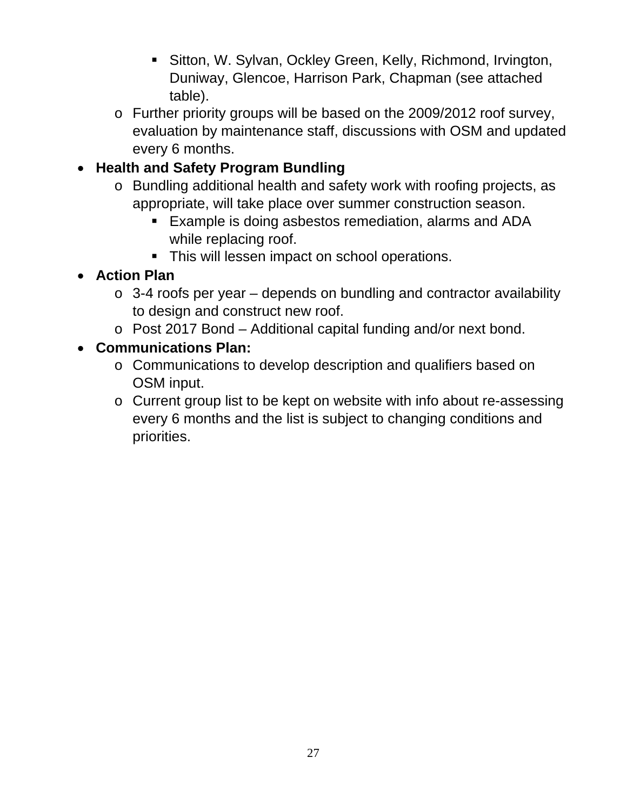- Sitton, W. Sylvan, Ockley Green, Kelly, Richmond, Irvington, Duniway, Glencoe, Harrison Park, Chapman (see attached table).
- o Further priority groups will be based on the 2009/2012 roof survey, evaluation by maintenance staff, discussions with OSM and updated every 6 months.

## **Health and Safety Program Bundling**

- o Bundling additional health and safety work with roofing projects, as appropriate, will take place over summer construction season.
	- Example is doing asbestos remediation, alarms and ADA while replacing roof.
	- This will lessen impact on school operations.

## **Action Plan**

- $\circ$  3-4 roofs per year depends on bundling and contractor availability to design and construct new roof.
- o Post 2017 Bond Additional capital funding and/or next bond.

#### **Communications Plan:**

- o Communications to develop description and qualifiers based on OSM input.
- o Current group list to be kept on website with info about re-assessing every 6 months and the list is subject to changing conditions and priorities.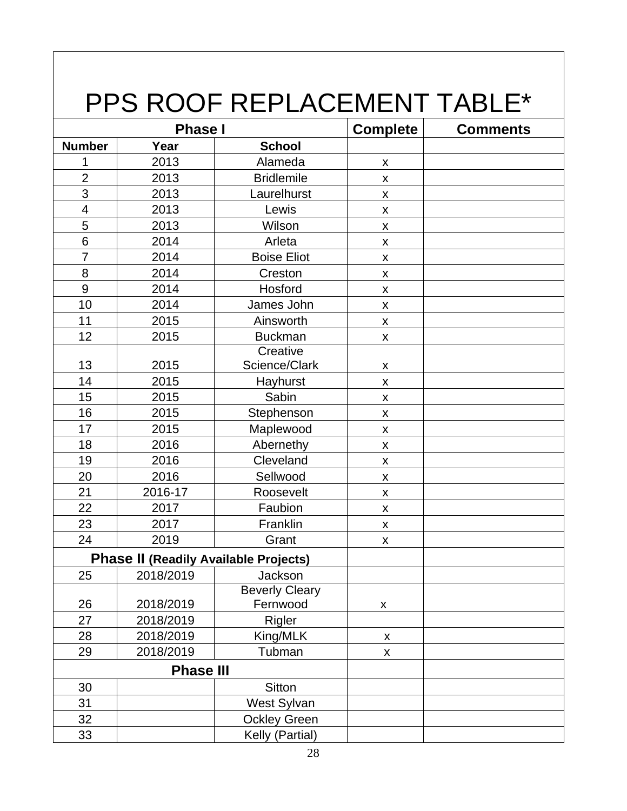# PPS ROOF REPLACEMENT TABLE\*

| <b>Phase I</b>  |                  |                                              | <b>Complete</b>    | <b>Comments</b> |
|-----------------|------------------|----------------------------------------------|--------------------|-----------------|
| <b>Number</b>   | Year             | <b>School</b>                                |                    |                 |
| 1               | 2013             | Alameda                                      | $\pmb{\mathsf{X}}$ |                 |
| $\overline{2}$  | 2013             | <b>Bridlemile</b>                            | $\pmb{\mathsf{X}}$ |                 |
| 3               | 2013             | Laurelhurst                                  | $\pmb{\times}$     |                 |
| $\overline{4}$  | 2013             | Lewis                                        | $\pmb{\times}$     |                 |
| 5               | 2013             | Wilson                                       | $\pmb{\mathsf{X}}$ |                 |
| $6\phantom{1}6$ | 2014             | Arleta                                       | $\pmb{\times}$     |                 |
| $\overline{7}$  | 2014             | <b>Boise Eliot</b>                           | $\pmb{\mathsf{X}}$ |                 |
| 8               | 2014             | Creston                                      | $\pmb{\mathsf{X}}$ |                 |
| 9               | 2014             | Hosford                                      | $\pmb{\times}$     |                 |
| 10              | 2014             | James John                                   | $\pmb{\mathsf{X}}$ |                 |
| 11              | 2015             | Ainsworth                                    | $\pmb{\mathsf{X}}$ |                 |
| 12              | 2015             | <b>Buckman</b>                               | $\pmb{\mathsf{X}}$ |                 |
|                 |                  | Creative                                     |                    |                 |
| 13              | 2015             | Science/Clark                                | $\pmb{\mathsf{X}}$ |                 |
| 14              | 2015             | Hayhurst                                     | $\pmb{\mathsf{X}}$ |                 |
| 15              | 2015             | Sabin                                        | $\pmb{\mathsf{X}}$ |                 |
| 16              | 2015             | Stephenson                                   | $\pmb{\mathsf{X}}$ |                 |
| 17              | 2015             | Maplewood                                    | $\pmb{\mathsf{X}}$ |                 |
| 18              | 2016             | Abernethy                                    | $\pmb{\mathsf{X}}$ |                 |
| 19              | 2016             | Cleveland                                    | $\pmb{\times}$     |                 |
| 20              | 2016             | Sellwood                                     | $\pmb{\mathsf{X}}$ |                 |
| 21              | 2016-17          | Roosevelt                                    | $\pmb{\mathsf{X}}$ |                 |
| 22              | 2017             | Faubion                                      | $\pmb{\mathsf{X}}$ |                 |
| 23              | 2017             | Franklin                                     | $\pmb{\times}$     |                 |
| 24              | 2019             | Grant                                        | $\pmb{\times}$     |                 |
|                 |                  | <b>Phase II (Readily Available Projects)</b> |                    |                 |
| 25              | 2018/2019        | Jackson                                      |                    |                 |
|                 |                  | <b>Beverly Cleary</b>                        |                    |                 |
| 26              | 2018/2019        | Fernwood                                     | $\pmb{\mathsf{X}}$ |                 |
| 27              | 2018/2019        | Rigler                                       |                    |                 |
| 28              | 2018/2019        | King/MLK                                     | X                  |                 |
| 29              | 2018/2019        | Tubman                                       | X                  |                 |
|                 | <b>Phase III</b> |                                              |                    |                 |
| 30              |                  | Sitton                                       |                    |                 |
| 31              |                  | West Sylvan                                  |                    |                 |
| 32              |                  | <b>Ockley Green</b>                          |                    |                 |
| 33              |                  | Kelly (Partial)                              |                    |                 |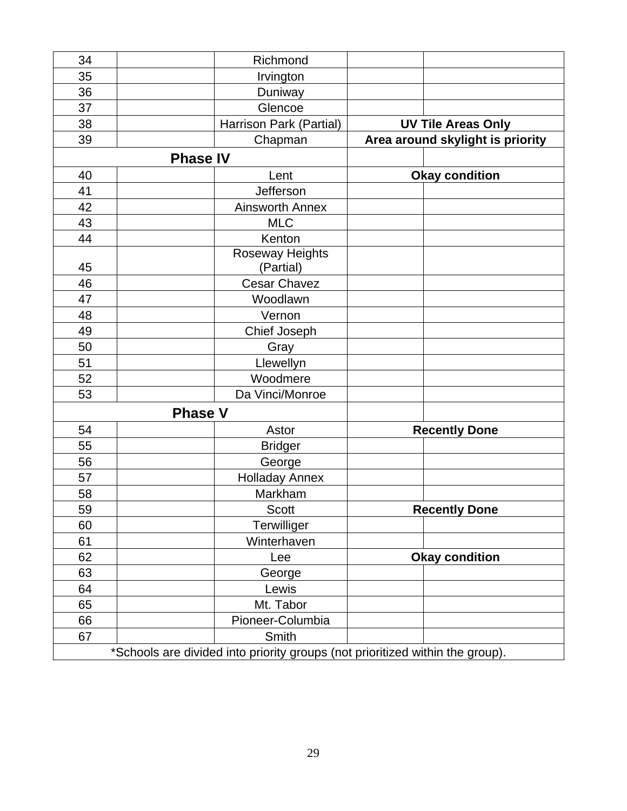| 34 | Richmond                                                                      |                                  |                           |  |
|----|-------------------------------------------------------------------------------|----------------------------------|---------------------------|--|
| 35 | Irvington                                                                     |                                  |                           |  |
| 36 | Duniway                                                                       |                                  |                           |  |
| 37 | Glencoe                                                                       |                                  |                           |  |
| 38 | Harrison Park (Partial)                                                       |                                  | <b>UV Tile Areas Only</b> |  |
| 39 | Chapman                                                                       | Area around skylight is priority |                           |  |
|    | <b>Phase IV</b>                                                               |                                  |                           |  |
| 40 | Lent                                                                          |                                  | <b>Okay condition</b>     |  |
| 41 | Jefferson                                                                     |                                  |                           |  |
| 42 | <b>Ainsworth Annex</b>                                                        |                                  |                           |  |
| 43 | <b>MLC</b>                                                                    |                                  |                           |  |
| 44 | Kenton                                                                        |                                  |                           |  |
|    | Roseway Heights                                                               |                                  |                           |  |
| 45 | (Partial)                                                                     |                                  |                           |  |
| 46 | <b>Cesar Chavez</b>                                                           |                                  |                           |  |
| 47 | Woodlawn                                                                      |                                  |                           |  |
| 48 | Vernon                                                                        |                                  |                           |  |
| 49 | Chief Joseph                                                                  |                                  |                           |  |
| 50 | Gray                                                                          |                                  |                           |  |
| 51 | Llewellyn                                                                     |                                  |                           |  |
| 52 | Woodmere                                                                      |                                  |                           |  |
| 53 | Da Vinci/Monroe                                                               |                                  |                           |  |
|    | <b>Phase V</b>                                                                |                                  |                           |  |
| 54 | Astor                                                                         |                                  | <b>Recently Done</b>      |  |
| 55 | <b>Bridger</b>                                                                |                                  |                           |  |
| 56 | George                                                                        |                                  |                           |  |
| 57 | <b>Holladay Annex</b>                                                         |                                  |                           |  |
| 58 | Markham                                                                       |                                  |                           |  |
| 59 | <b>Scott</b>                                                                  |                                  | <b>Recently Done</b>      |  |
| 60 | Terwilliger                                                                   |                                  |                           |  |
| 61 | Winterhaven                                                                   |                                  |                           |  |
| 62 | Lee                                                                           |                                  | <b>Okay condition</b>     |  |
| 63 | George                                                                        |                                  |                           |  |
| 64 | Lewis                                                                         |                                  |                           |  |
| 65 | Mt. Tabor                                                                     |                                  |                           |  |
| 66 | Pioneer-Columbia                                                              |                                  |                           |  |
| 67 | Smith                                                                         |                                  |                           |  |
|    | *Schools are divided into priority groups (not prioritized within the group). |                                  |                           |  |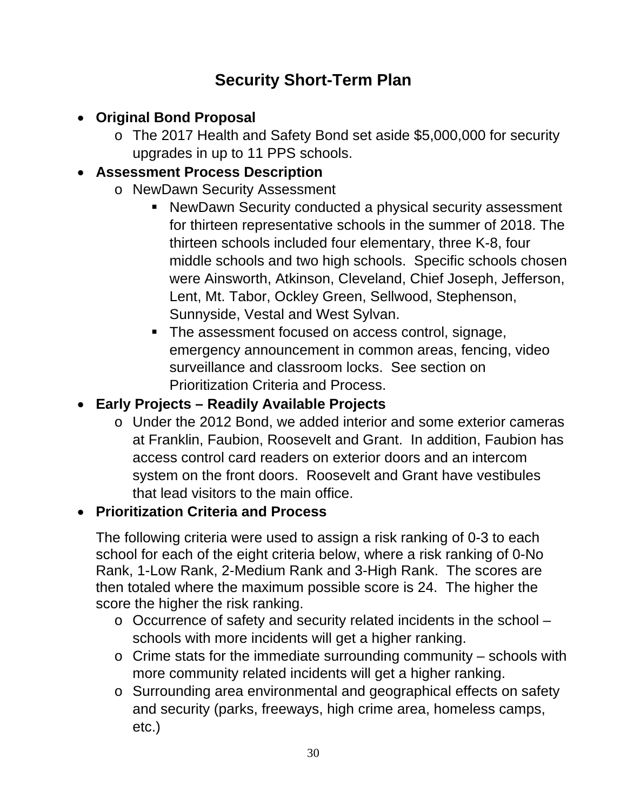## **Security Short-Term Plan**

- **Original Bond Proposal** 
	- o The 2017 Health and Safety Bond set aside \$5,000,000 for security upgrades in up to 11 PPS schools.

#### **Assessment Process Description**

- o NewDawn Security Assessment
	- NewDawn Security conducted a physical security assessment for thirteen representative schools in the summer of 2018. The thirteen schools included four elementary, three K-8, four middle schools and two high schools. Specific schools chosen were Ainsworth, Atkinson, Cleveland, Chief Joseph, Jefferson, Lent, Mt. Tabor, Ockley Green, Sellwood, Stephenson, Sunnyside, Vestal and West Sylvan.
	- The assessment focused on access control, signage, emergency announcement in common areas, fencing, video surveillance and classroom locks. See section on Prioritization Criteria and Process.

#### **Early Projects – Readily Available Projects**

o Under the 2012 Bond, we added interior and some exterior cameras at Franklin, Faubion, Roosevelt and Grant. In addition, Faubion has access control card readers on exterior doors and an intercom system on the front doors. Roosevelt and Grant have vestibules that lead visitors to the main office.

## **Prioritization Criteria and Process**

The following criteria were used to assign a risk ranking of 0-3 to each school for each of the eight criteria below, where a risk ranking of 0-No Rank, 1-Low Rank, 2-Medium Rank and 3-High Rank. The scores are then totaled where the maximum possible score is 24. The higher the score the higher the risk ranking.

- o Occurrence of safety and security related incidents in the school schools with more incidents will get a higher ranking.
- $\circ$  Crime stats for the immediate surrounding community schools with more community related incidents will get a higher ranking.
- o Surrounding area environmental and geographical effects on safety and security (parks, freeways, high crime area, homeless camps, etc.)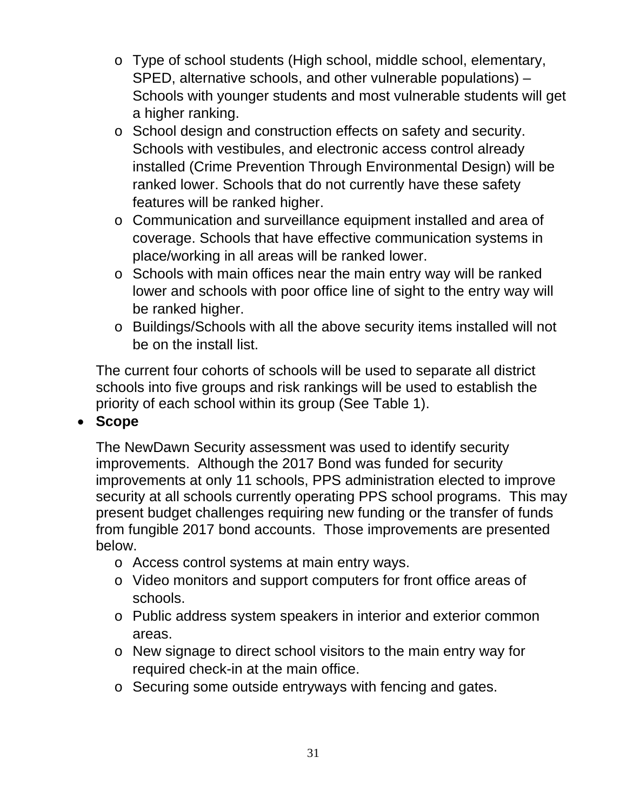- o Type of school students (High school, middle school, elementary, SPED, alternative schools, and other vulnerable populations) – Schools with younger students and most vulnerable students will get a higher ranking.
- o School design and construction effects on safety and security. Schools with vestibules, and electronic access control already installed (Crime Prevention Through Environmental Design) will be ranked lower. Schools that do not currently have these safety features will be ranked higher.
- o Communication and surveillance equipment installed and area of coverage. Schools that have effective communication systems in place/working in all areas will be ranked lower.
- o Schools with main offices near the main entry way will be ranked lower and schools with poor office line of sight to the entry way will be ranked higher.
- o Buildings/Schools with all the above security items installed will not be on the install list.

The current four cohorts of schools will be used to separate all district schools into five groups and risk rankings will be used to establish the priority of each school within its group (See Table 1).

#### **Scope**

The NewDawn Security assessment was used to identify security improvements. Although the 2017 Bond was funded for security improvements at only 11 schools, PPS administration elected to improve security at all schools currently operating PPS school programs. This may present budget challenges requiring new funding or the transfer of funds from fungible 2017 bond accounts. Those improvements are presented below.

- o Access control systems at main entry ways.
- o Video monitors and support computers for front office areas of schools.
- o Public address system speakers in interior and exterior common areas.
- o New signage to direct school visitors to the main entry way for required check-in at the main office.
- o Securing some outside entryways with fencing and gates.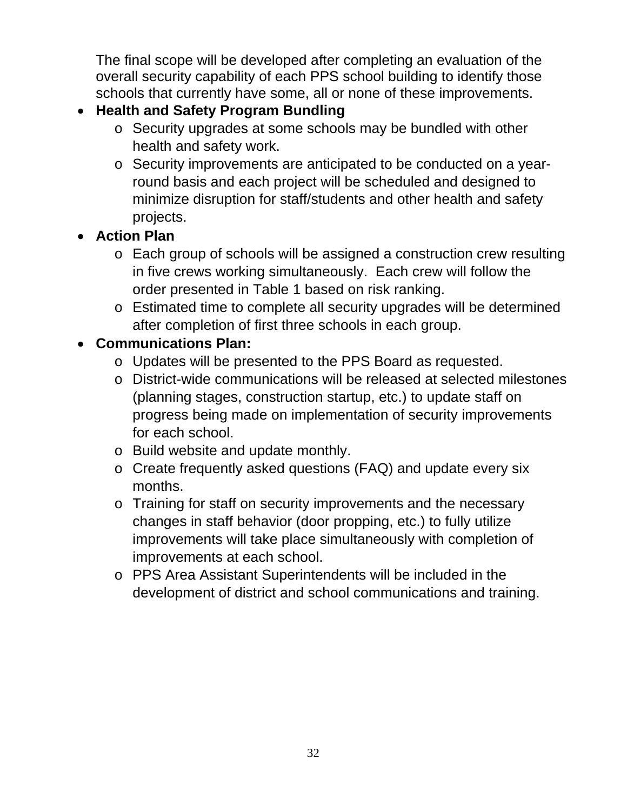The final scope will be developed after completing an evaluation of the overall security capability of each PPS school building to identify those schools that currently have some, all or none of these improvements.

## **Health and Safety Program Bundling**

- o Security upgrades at some schools may be bundled with other health and safety work.
- o Security improvements are anticipated to be conducted on a yearround basis and each project will be scheduled and designed to minimize disruption for staff/students and other health and safety projects.

## **Action Plan**

- o Each group of schools will be assigned a construction crew resulting in five crews working simultaneously. Each crew will follow the order presented in Table 1 based on risk ranking.
- o Estimated time to complete all security upgrades will be determined after completion of first three schools in each group.

## **Communications Plan:**

- o Updates will be presented to the PPS Board as requested.
- o District-wide communications will be released at selected milestones (planning stages, construction startup, etc.) to update staff on progress being made on implementation of security improvements for each school.
- o Build website and update monthly.
- o Create frequently asked questions (FAQ) and update every six months.
- o Training for staff on security improvements and the necessary changes in staff behavior (door propping, etc.) to fully utilize improvements will take place simultaneously with completion of improvements at each school.
- o PPS Area Assistant Superintendents will be included in the development of district and school communications and training.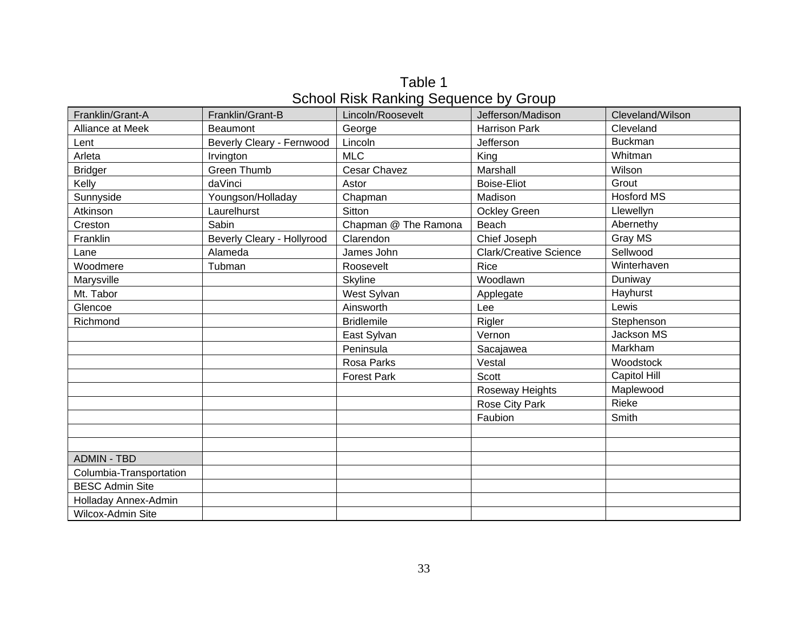Table 1 School Risk Ranking Sequence by Group

| Franklin/Grant-A        | Franklin/Grant-B           | Lincoln/Roosevelt    | Jefferson/Madison             | Cleveland/Wilson  |
|-------------------------|----------------------------|----------------------|-------------------------------|-------------------|
| Alliance at Meek        | <b>Beaumont</b>            | George               | <b>Harrison Park</b>          | Cleveland         |
| Lent                    | Beverly Cleary - Fernwood  | Lincoln              | Jefferson                     | <b>Buckman</b>    |
| Arleta                  | Irvington                  | <b>MLC</b>           | King                          | Whitman           |
| <b>Bridger</b>          | <b>Green Thumb</b>         | Cesar Chavez         | Marshall                      | Wilson            |
| Kelly                   | daVinci                    | Astor                | <b>Boise-Eliot</b>            | Grout             |
| Sunnyside               | Youngson/Holladay          | Chapman              | Madison                       | <b>Hosford MS</b> |
| Atkinson                | Laurelhurst                | Sitton               | <b>Ockley Green</b>           | Llewellyn         |
| Creston                 | Sabin                      | Chapman @ The Ramona | Beach                         | Abernethy         |
| Franklin                | Beverly Cleary - Hollyrood | Clarendon            | Chief Joseph                  | Gray MS           |
| Lane                    | Alameda                    | James John           | <b>Clark/Creative Science</b> | Sellwood          |
| Woodmere                | Tubman                     | Roosevelt            | Rice                          | Winterhaven       |
| Marysville              |                            | Skyline              | Woodlawn                      | Duniway           |
| Mt. Tabor               |                            | West Sylvan          | Applegate                     | Hayhurst          |
| Glencoe                 |                            | Ainsworth            | Lee                           | Lewis             |
| Richmond                |                            | <b>Bridlemile</b>    | Rigler                        | Stephenson        |
|                         |                            | East Sylvan          | Vernon                        | Jackson MS        |
|                         |                            | Peninsula            | Sacajawea                     | Markham           |
|                         |                            | Rosa Parks           | Vestal                        | Woodstock         |
|                         |                            | <b>Forest Park</b>   | Scott                         | Capitol Hill      |
|                         |                            |                      | Roseway Heights               | Maplewood         |
|                         |                            |                      | Rose City Park                | Rieke             |
|                         |                            |                      | Faubion                       | Smith             |
|                         |                            |                      |                               |                   |
|                         |                            |                      |                               |                   |
| <b>ADMIN - TBD</b>      |                            |                      |                               |                   |
| Columbia-Transportation |                            |                      |                               |                   |
| <b>BESC Admin Site</b>  |                            |                      |                               |                   |
| Holladay Annex-Admin    |                            |                      |                               |                   |
| Wilcox-Admin Site       |                            |                      |                               |                   |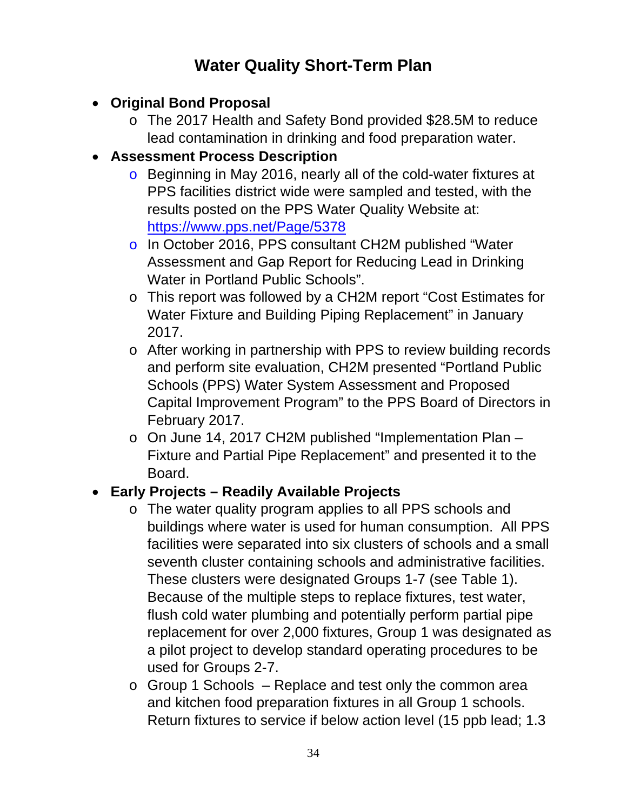# **Water Quality Short-Term Plan**

- **Original Bond Proposal** 
	- o The 2017 Health and Safety Bond provided \$28.5M to reduce lead contamination in drinking and food preparation water.
- **Assessment Process Description** 
	- o Beginning in May 2016, nearly all of the cold-water fixtures at PPS facilities district wide were sampled and tested, with the results posted on the PPS Water Quality Website at: https://www.pps.net/Page/5378
	- o In October 2016, PPS consultant CH2M published "Water Assessment and Gap Report for Reducing Lead in Drinking Water in Portland Public Schools".
	- o This report was followed by a CH2M report "Cost Estimates for Water Fixture and Building Piping Replacement" in January 2017.
	- o After working in partnership with PPS to review building records and perform site evaluation, CH2M presented "Portland Public Schools (PPS) Water System Assessment and Proposed Capital Improvement Program" to the PPS Board of Directors in February 2017.
	- o On June 14, 2017 CH2M published "Implementation Plan Fixture and Partial Pipe Replacement" and presented it to the Board.

## **Early Projects – Readily Available Projects**

- o The water quality program applies to all PPS schools and buildings where water is used for human consumption. All PPS facilities were separated into six clusters of schools and a small seventh cluster containing schools and administrative facilities. These clusters were designated Groups 1-7 (see Table 1). Because of the multiple steps to replace fixtures, test water, flush cold water plumbing and potentially perform partial pipe replacement for over 2,000 fixtures, Group 1 was designated as a pilot project to develop standard operating procedures to be used for Groups 2-7.
- $\circ$  Group 1 Schools Replace and test only the common area and kitchen food preparation fixtures in all Group 1 schools. Return fixtures to service if below action level (15 ppb lead; 1.3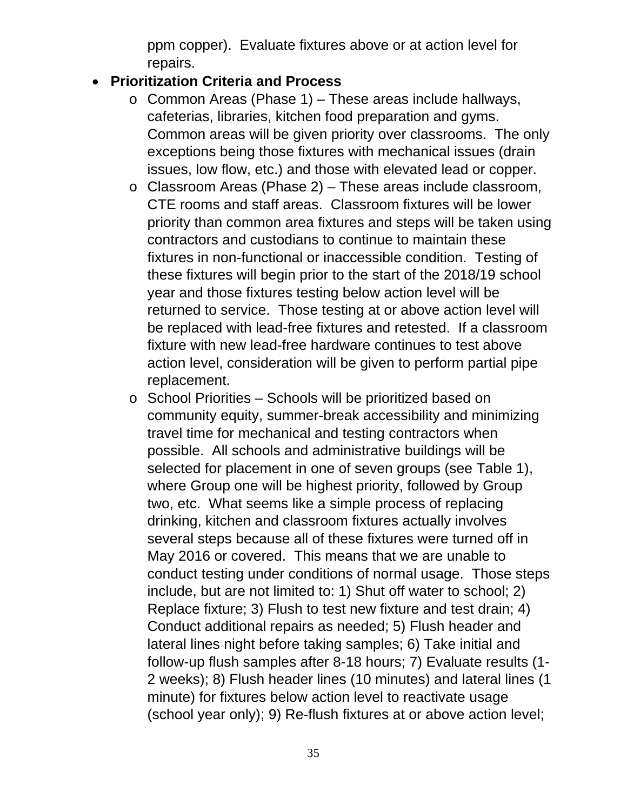ppm copper). Evaluate fixtures above or at action level for repairs.

#### **Prioritization Criteria and Process**

- o Common Areas (Phase 1) These areas include hallways, cafeterias, libraries, kitchen food preparation and gyms. Common areas will be given priority over classrooms. The only exceptions being those fixtures with mechanical issues (drain issues, low flow, etc.) and those with elevated lead or copper.
- o Classroom Areas (Phase 2) These areas include classroom, CTE rooms and staff areas. Classroom fixtures will be lower priority than common area fixtures and steps will be taken using contractors and custodians to continue to maintain these fixtures in non-functional or inaccessible condition. Testing of these fixtures will begin prior to the start of the 2018/19 school year and those fixtures testing below action level will be returned to service. Those testing at or above action level will be replaced with lead-free fixtures and retested. If a classroom fixture with new lead-free hardware continues to test above action level, consideration will be given to perform partial pipe replacement.
- o School Priorities Schools will be prioritized based on community equity, summer-break accessibility and minimizing travel time for mechanical and testing contractors when possible. All schools and administrative buildings will be selected for placement in one of seven groups (see Table 1), where Group one will be highest priority, followed by Group two, etc. What seems like a simple process of replacing drinking, kitchen and classroom fixtures actually involves several steps because all of these fixtures were turned off in May 2016 or covered. This means that we are unable to conduct testing under conditions of normal usage. Those steps include, but are not limited to: 1) Shut off water to school; 2) Replace fixture; 3) Flush to test new fixture and test drain; 4) Conduct additional repairs as needed; 5) Flush header and lateral lines night before taking samples; 6) Take initial and follow-up flush samples after 8-18 hours; 7) Evaluate results (1- 2 weeks); 8) Flush header lines (10 minutes) and lateral lines (1 minute) for fixtures below action level to reactivate usage (school year only); 9) Re-flush fixtures at or above action level;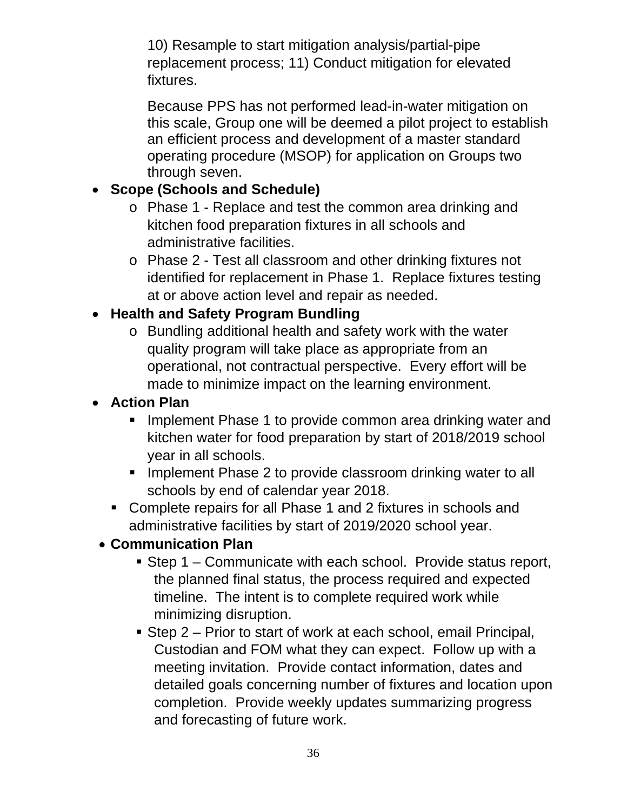10) Resample to start mitigation analysis/partial-pipe replacement process; 11) Conduct mitigation for elevated fixtures.

Because PPS has not performed lead-in-water mitigation on this scale, Group one will be deemed a pilot project to establish an efficient process and development of a master standard operating procedure (MSOP) for application on Groups two through seven.

#### **Scope (Schools and Schedule)**

- o Phase 1 Replace and test the common area drinking and kitchen food preparation fixtures in all schools and administrative facilities.
- o Phase 2 Test all classroom and other drinking fixtures not identified for replacement in Phase 1. Replace fixtures testing at or above action level and repair as needed.

#### **Health and Safety Program Bundling**

o Bundling additional health and safety work with the water quality program will take place as appropriate from an operational, not contractual perspective. Every effort will be made to minimize impact on the learning environment.

#### **Action Plan**

- **IMPLEMENTHERGE 1 to provide common area drinking water and** kitchen water for food preparation by start of 2018/2019 school year in all schools.
- **Implement Phase 2 to provide classroom drinking water to all** schools by end of calendar year 2018.
- Complete repairs for all Phase 1 and 2 fixtures in schools and administrative facilities by start of 2019/2020 school year.

#### **Communication Plan**

- Step 1 Communicate with each school. Provide status report, the planned final status, the process required and expected timeline. The intent is to complete required work while minimizing disruption.
- Step 2 Prior to start of work at each school, email Principal, Custodian and FOM what they can expect. Follow up with a meeting invitation. Provide contact information, dates and detailed goals concerning number of fixtures and location upon completion. Provide weekly updates summarizing progress and forecasting of future work.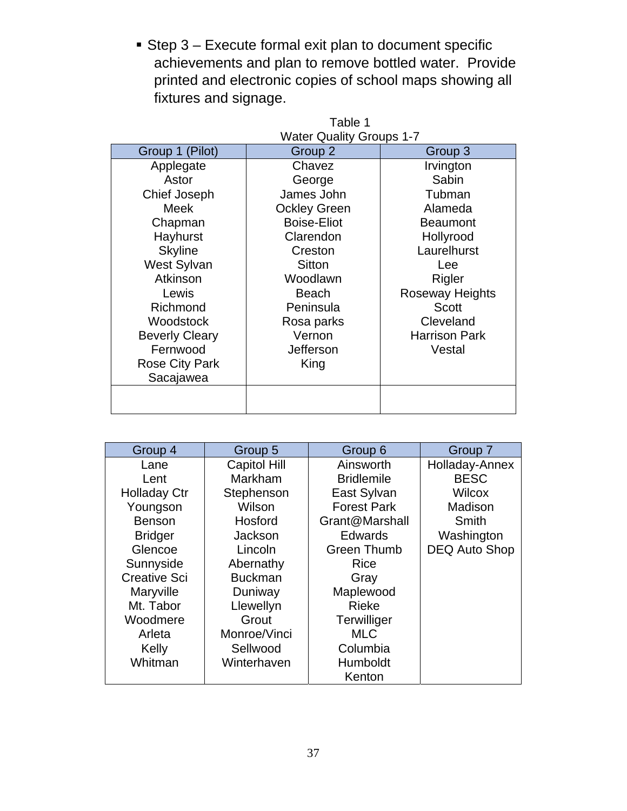Step 3 – Execute formal exit plan to document specific achievements and plan to remove bottled water. Provide printed and electronic copies of school maps showing all fixtures and signage.

| Table 1                         |                     |                        |  |  |
|---------------------------------|---------------------|------------------------|--|--|
| <b>Water Quality Groups 1-7</b> |                     |                        |  |  |
| Group 1 (Pilot)                 | Group 2             | Group <sub>3</sub>     |  |  |
| Applegate                       | Chavez              | Irvington              |  |  |
| Astor                           | George              | Sabin                  |  |  |
| Chief Joseph                    | James John          | Tubman                 |  |  |
| Meek                            | <b>Ockley Green</b> | Alameda                |  |  |
| Chapman                         | <b>Boise-Eliot</b>  | <b>Beaumont</b>        |  |  |
| Hayhurst                        | Clarendon           | Hollyrood              |  |  |
| <b>Skyline</b>                  | Creston             | Laurelhurst            |  |  |
| West Sylvan                     | Sitton              | Lee                    |  |  |
| Atkinson                        | Woodlawn            | Rigler                 |  |  |
| Lewis                           | <b>Beach</b>        | <b>Roseway Heights</b> |  |  |
| Richmond                        | Peninsula           | <b>Scott</b>           |  |  |
| Woodstock                       | Rosa parks          | Cleveland              |  |  |
| <b>Beverly Cleary</b>           | Vernon              | <b>Harrison Park</b>   |  |  |
| Fernwood                        | Jefferson           | Vestal                 |  |  |
| <b>Rose City Park</b>           | King                |                        |  |  |
| Sacajawea                       |                     |                        |  |  |
|                                 |                     |                        |  |  |
|                                 |                     |                        |  |  |

| Group 4             | Group 5             | Group 6            | Group 7              |
|---------------------|---------------------|--------------------|----------------------|
| Lane                | <b>Capitol Hill</b> | Ainsworth          | Holladay-Annex       |
| Lent                | Markham             | <b>Bridlemile</b>  | <b>BESC</b>          |
| <b>Holladay Ctr</b> | Stephenson          | East Sylvan        | <b>Wilcox</b>        |
| Youngson            | Wilson              | <b>Forest Park</b> | Madison              |
| <b>Benson</b>       | Hosford             | Grant@Marshall     | Smith                |
| <b>Bridger</b>      | Jackson             | <b>Edwards</b>     | Washington           |
| Glencoe             | Lincoln             | <b>Green Thumb</b> | <b>DEQ Auto Shop</b> |
| Sunnyside           | Abernathy           | <b>Rice</b>        |                      |
| <b>Creative Sci</b> | <b>Buckman</b>      | Gray               |                      |
| Maryville           | Duniway             | Maplewood          |                      |
| Mt. Tabor           | Llewellyn           | <b>Rieke</b>       |                      |
| Woodmere            | Grout               | Terwilliger        |                      |
| Arleta              | Monroe/Vinci        | <b>MLC</b>         |                      |
| Kelly               | Sellwood            | Columbia           |                      |
| Whitman             | Winterhaven         | Humboldt           |                      |
|                     |                     | Kenton             |                      |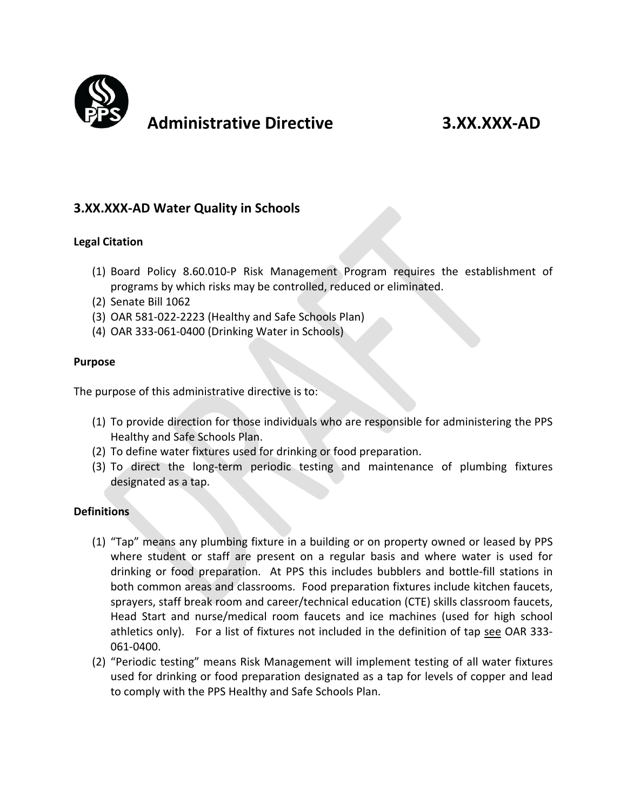

## **Administrative Directive 3.XX.XXX‐AD**

#### **3.XX.XXX‐AD Water Quality in Schools**

#### **Legal Citation**

- (1) Board Policy 8.60.010‐P Risk Management Program requires the establishment of programs by which risks may be controlled, reduced or eliminated.
- (2) Senate Bill 1062
- (3) OAR 581‐022‐2223 (Healthy and Safe Schools Plan)
- (4) OAR 333‐061‐0400 (Drinking Water in Schools)

#### **Purpose**

The purpose of this administrative directive is to:

- (1) To provide direction for those individuals who are responsible for administering the PPS Healthy and Safe Schools Plan.
- (2) To define water fixtures used for drinking or food preparation.
- (3) To direct the long‐term periodic testing and maintenance of plumbing fixtures designated as a tap.

#### **Definitions**

- (1) "Tap" means any plumbing fixture in a building or on property owned or leased by PPS where student or staff are present on a regular basis and where water is used for drinking or food preparation. At PPS this includes bubblers and bottle‐fill stations in both common areas and classrooms. Food preparation fixtures include kitchen faucets, sprayers, staff break room and career/technical education (CTE) skills classroom faucets, Head Start and nurse/medical room faucets and ice machines (used for high school athletics only). For a list of fixtures not included in the definition of tap see OAR 333‐ 061‐0400.
- (2) "Periodic testing" means Risk Management will implement testing of all water fixtures used for drinking or food preparation designated as a tap for levels of copper and lead to comply with the PPS Healthy and Safe Schools Plan.